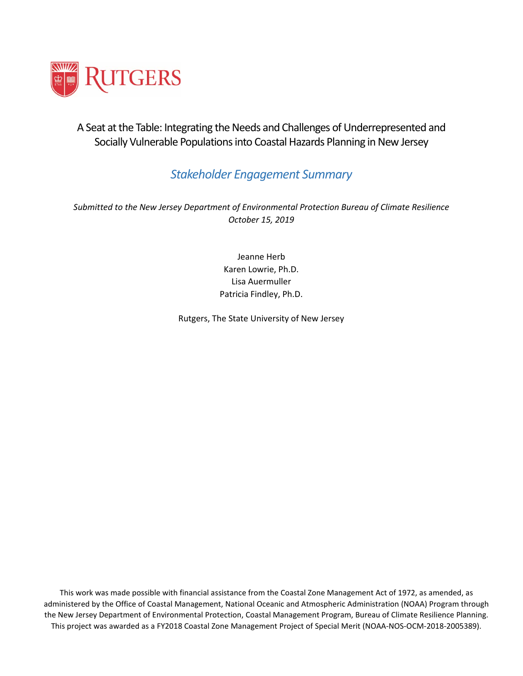

A Seat at the Table: Integrating the Needs and Challenges of Underrepresented and Socially Vulnerable Populations into Coastal Hazards Planning in New Jersey

## *Stakeholder Engagement Summary*

*Submitted to the New Jersey Department of Environmental Protection Bureau of Climate Resilience October 15, 2019*

> Jeanne Herb Karen Lowrie, Ph.D. Lisa Auermuller Patricia Findley, Ph.D.

Rutgers, The State University of New Jersey

1 This project was awarded as a FY2018 Coastal Zone Management Project of Special Merit (NOAA-NOS-OCM-2018-2005389).This work was made possible with financial assistance from the Coastal Zone Management Act of 1972, as amended, as administered by the Office of Coastal Management, National Oceanic and Atmospheric Administration (NOAA) Program through the New Jersey Department of Environmental Protection, Coastal Management Program, Bureau of Climate Resilience Planning.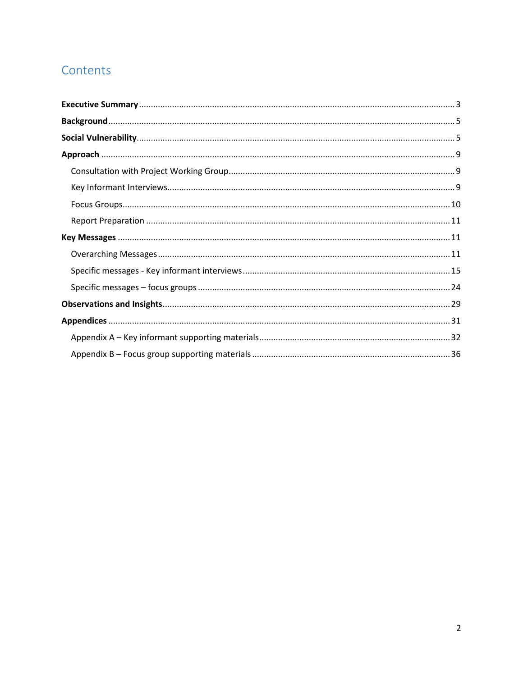# Contents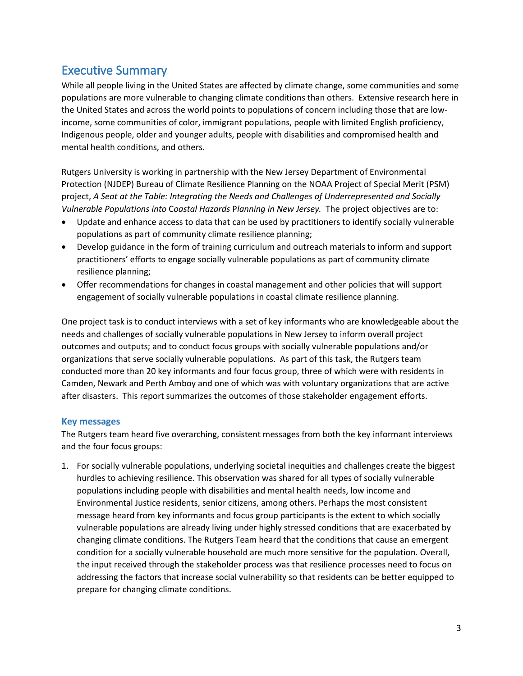## <span id="page-2-0"></span>Executive Summary

While all people living in the United States are affected by climate change, some communities and some populations are more vulnerable to changing climate conditions than others. Extensive research here in the United States and across the world points to populations of concern including those that are lowincome, some communities of color, immigrant populations, people with limited English proficiency, Indigenous people, older and younger adults, people with disabilities and compromised health and mental health conditions, and others.

Rutgers University is working in partnership with the New Jersey Department of Environmental Protection (NJDEP) Bureau of Climate Resilience Planning on the NOAA Project of Special Merit (PSM) project, *A Seat at the Table: Integrating the Needs and Challenges of Underrepresented and Socially Vulnerable Populations into* C*oastal Hazards* P*lanning in New Jersey.* The project objectives are to:

- Update and enhance access to data that can be used by practitioners to identify socially vulnerable populations as part of community climate resilience planning;
- Develop guidance in the form of training curriculum and outreach materials to inform and support practitioners' efforts to engage socially vulnerable populations as part of community climate resilience planning;
- Offer recommendations for changes in coastal management and other policies that will support engagement of socially vulnerable populations in coastal climate resilience planning.

One project task is to conduct interviews with a set of key informants who are knowledgeable about the needs and challenges of socially vulnerable populations in New Jersey to inform overall project outcomes and outputs; and to conduct focus groups with socially vulnerable populations and/or organizations that serve socially vulnerable populations. As part of this task, the Rutgers team conducted more than 20 key informants and four focus group, three of which were with residents in Camden, Newark and Perth Amboy and one of which was with voluntary organizations that are active after disasters. This report summarizes the outcomes of those stakeholder engagement efforts.

### **Key messages**

The Rutgers team heard five overarching, consistent messages from both the key informant interviews and the four focus groups:

1. For socially vulnerable populations, underlying societal inequities and challenges create the biggest hurdles to achieving resilience. This observation was shared for all types of socially vulnerable populations including people with disabilities and mental health needs, low income and Environmental Justice residents, senior citizens, among others. Perhaps the most consistent message heard from key informants and focus group participants is the extent to which socially vulnerable populations are already living under highly stressed conditions that are exacerbated by changing climate conditions. The Rutgers Team heard that the conditions that cause an emergent condition for a socially vulnerable household are much more sensitive for the population. Overall, the input received through the stakeholder process was that resilience processes need to focus on addressing the factors that increase social vulnerability so that residents can be better equipped to prepare for changing climate conditions.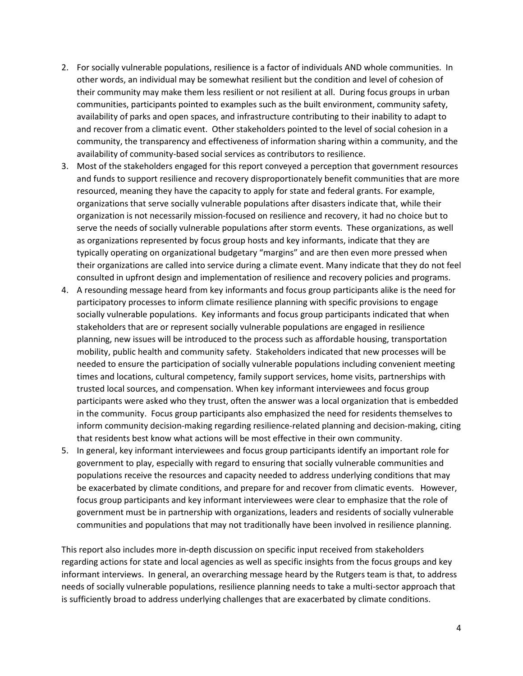- 2. For socially vulnerable populations, resilience is a factor of individuals AND whole communities. In other words, an individual may be somewhat resilient but the condition and level of cohesion of their community may make them less resilient or not resilient at all. During focus groups in urban communities, participants pointed to examples such as the built environment, community safety, availability of parks and open spaces, and infrastructure contributing to their inability to adapt to and recover from a climatic event. Other stakeholders pointed to the level of social cohesion in a community, the transparency and effectiveness of information sharing within a community, and the availability of community-based social services as contributors to resilience.
- 3. Most of the stakeholders engaged for this report conveyed a perception that government resources and funds to support resilience and recovery disproportionately benefit communities that are more resourced, meaning they have the capacity to apply for state and federal grants. For example, organizations that serve socially vulnerable populations after disasters indicate that, while their organization is not necessarily mission-focused on resilience and recovery, it had no choice but to serve the needs of socially vulnerable populations after storm events. These organizations, as well as organizations represented by focus group hosts and key informants, indicate that they are typically operating on organizational budgetary "margins" and are then even more pressed when their organizations are called into service during a climate event. Many indicate that they do not feel consulted in upfront design and implementation of resilience and recovery policies and programs.
- 4. A resounding message heard from key informants and focus group participants alike is the need for participatory processes to inform climate resilience planning with specific provisions to engage socially vulnerable populations. Key informants and focus group participants indicated that when stakeholders that are or represent socially vulnerable populations are engaged in resilience planning, new issues will be introduced to the process such as affordable housing, transportation mobility, public health and community safety. Stakeholders indicated that new processes will be needed to ensure the participation of socially vulnerable populations including convenient meeting times and locations, cultural competency, family support services, home visits, partnerships with trusted local sources, and compensation. When key informant interviewees and focus group participants were asked who they trust, often the answer was a local organization that is embedded in the community. Focus group participants also emphasized the need for residents themselves to inform community decision-making regarding resilience-related planning and decision-making, citing that residents best know what actions will be most effective in their own community.
- 5. In general, key informant interviewees and focus group participants identify an important role for government to play, especially with regard to ensuring that socially vulnerable communities and populations receive the resources and capacity needed to address underlying conditions that may be exacerbated by climate conditions, and prepare for and recover from climatic events. However, focus group participants and key informant interviewees were clear to emphasize that the role of government must be in partnership with organizations, leaders and residents of socially vulnerable communities and populations that may not traditionally have been involved in resilience planning.

This report also includes more in-depth discussion on specific input received from stakeholders regarding actions for state and local agencies as well as specific insights from the focus groups and key informant interviews. In general, an overarching message heard by the Rutgers team is that, to address needs of socially vulnerable populations, resilience planning needs to take a multi-sector approach that is sufficiently broad to address underlying challenges that are exacerbated by climate conditions.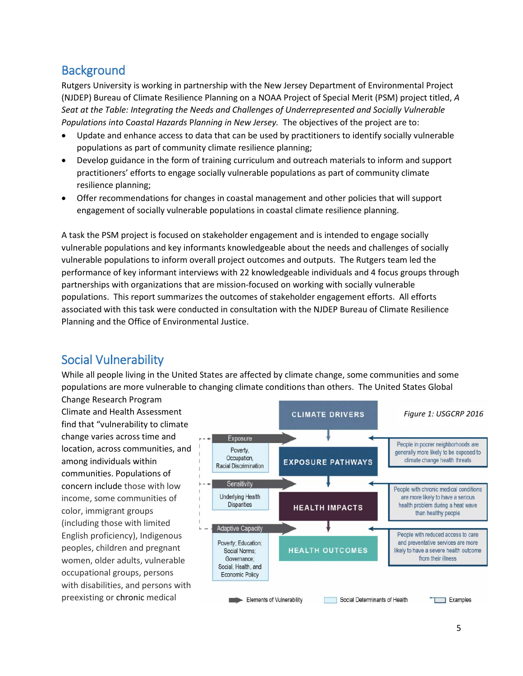## <span id="page-4-0"></span>**Background**

Rutgers University is working in partnership with the New Jersey Department of Environmental Project (NJDEP) Bureau of Climate Resilience Planning on a NOAA Project of Special Merit (PSM) project titled, *A Seat at the Table: Integrating the Needs and Challenges of Underrepresented and Socially Vulnerable Populations into* C*oastal Hazards* P*lanning in New Jersey.* The objectives of the project are to:

- Update and enhance access to data that can be used by practitioners to identify socially vulnerable populations as part of community climate resilience planning;
- Develop guidance in the form of training curriculum and outreach materials to inform and support practitioners' efforts to engage socially vulnerable populations as part of community climate resilience planning;
- Offer recommendations for changes in coastal management and other policies that will support engagement of socially vulnerable populations in coastal climate resilience planning.

A task the PSM project is focused on stakeholder engagement and is intended to engage socially vulnerable populations and key informants knowledgeable about the needs and challenges of socially vulnerable populations to inform overall project outcomes and outputs. The Rutgers team led the performance of key informant interviews with 22 knowledgeable individuals and 4 focus groups through partnerships with organizations that are mission-focused on working with socially vulnerable populations. This report summarizes the outcomes of stakeholder engagement efforts. All efforts associated with this task were conducted in consultation with the NJDEP Bureau of Climate Resilience Planning and the Office of Environmental Justice.

# <span id="page-4-1"></span>Social Vulnerability

While all people living in the United States are affected by climate change, some communities and some populations are more vulnerable to changing climate conditions than others. The United States Global

Change Research Program Climate and Health Assessment find that "vulnerability to climate change varies across time and location, across communities, and among individuals within communities. Populations of concern include those with low income, some communities of color, immigrant groups (including those with limited English proficiency), Indigenous peoples, children and pregnant women, older adults, vulnerable occupational groups, persons with disabilities, and persons with preexisting or chronic medical

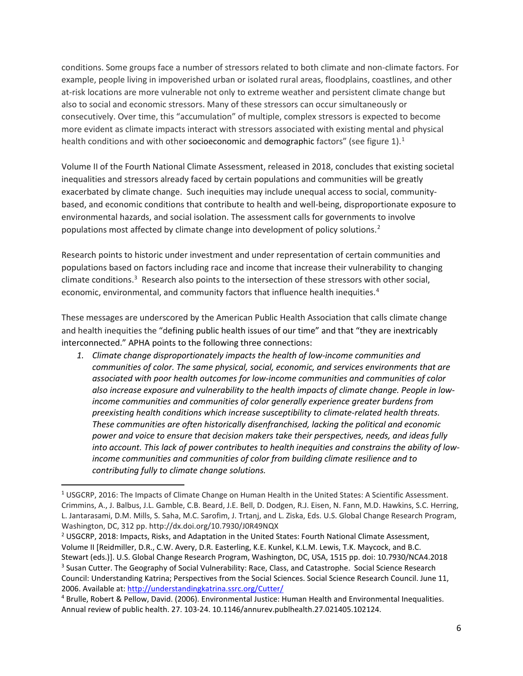conditions. Some groups face a number of stressors related to both climate and non-climate factors. For example, people living in impoverished urban or isolated rural areas, floodplains, coastlines, and other at-risk locations are more vulnerable not only to extreme weather and persistent climate change but also to social and economic stressors. Many of these stressors can occur simultaneously or consecutively. Over time, this "accumulation" of multiple, complex stressors is expected to become more evident as climate impacts interact with stressors associated with existing mental and physical health conditions and with other socioeconomic and demographic factors" (see figure 1).<sup>1</sup>

Volume II of the Fourth National Climate Assessment, released in 2018, concludes that existing societal inequalities and stressors already faced by certain populations and communities will be greatly exacerbated by climate change. Such inequities may include unequal access to social, communitybased, and economic conditions that contribute to health and well-being, disproportionate exposure to environmental hazards, and social isolation. The assessment calls for governments to involve populations most affected by climate change into development of policy solutions.<sup>[2](#page-5-1)</sup>

Research points to historic under investment and under representation of certain communities and populations based on factors including race and income that increase their vulnerability to changing climate conditions.<sup>[3](#page-5-2)</sup> Research also points to the intersection of these stressors with other social, economic, environmental, and community factors that influence health inequities.<sup>[4](#page-5-3)</sup>

These messages are underscored by the American Public Health Association that calls climate change and health inequities the "defining public health issues of our time" and that "they are inextricably interconnected." APHA points to the following three connections:

*1. Climate change disproportionately impacts the health of low-income communities and communities of color. The same physical, social, economic, and services environments that are associated with poor health outcomes for low-income communities and communities of color also increase exposure and vulnerability to the health impacts of climate change. People in lowincome communities and communities of color generally experience greater burdens from preexisting health conditions which increase susceptibility to climate-related health threats. These communities are often historically disenfranchised, lacking the political and economic power and voice to ensure that decision makers take their perspectives, needs, and ideas fully into account. This lack of power contributes to health inequities and constrains the ability of lowincome communities and communities of color from building climate resilience and to contributing fully to climate change solutions.* 

<span id="page-5-2"></span><span id="page-5-1"></span><sup>2</sup> USGCRP, 2018: Impacts, Risks, and Adaptation in the United States: Fourth National Climate Assessment, Volume II [Reidmiller, D.R., C.W. Avery, D.R. Easterling, K.E. Kunkel, K.L.M. Lewis, T.K. Maycock, and B.C. Stewart (eds.)]. U.S. Global Change Research Program, Washington, DC, USA, 1515 pp. doi: 10.7930/NCA4.2018 <sup>3</sup> Susan Cutter. The Geography of Social Vulnerability: Race, Class, and Catastrophe. Social Science Research Council: Understanding Katrina; Perspectives from the Social Sciences. Social Science Research Council. June 11, 2006. Available at[: http://understandingkatrina.ssrc.org/Cutter/](http://understandingkatrina.ssrc.org/Cutter/)

<span id="page-5-0"></span><sup>&</sup>lt;sup>1</sup> USGCRP, 2016: The Impacts of Climate Change on Human Health in the United States: A Scientific Assessment. Crimmins, A., J. Balbus, J.L. Gamble, C.B. Beard, J.E. Bell, D. Dodgen, R.J. Eisen, N. Fann, M.D. Hawkins, S.C. Herring, L. Jantarasami, D.M. Mills, S. Saha, M.C. Sarofim, J. Trtanj, and L. Ziska, Eds. U.S. Global Change Research Program, Washington, DC, 312 pp. http://dx.doi.org/10.7930/J0R49NQX

<span id="page-5-3"></span><sup>4</sup> Brulle, Robert & Pellow, David. (2006). Environmental Justice: Human Health and Environmental Inequalities. Annual review of public health. 27. 103-24. 10.1146/annurev.publhealth.27.021405.102124.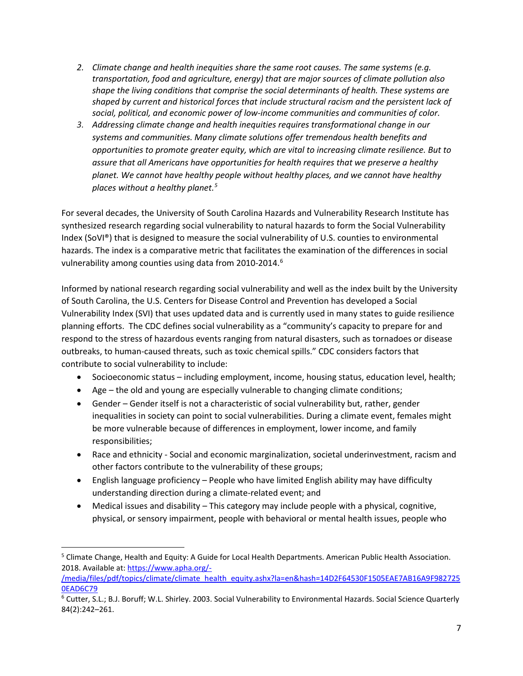- *2. Climate change and health inequities share the same root causes. The same systems (e.g. transportation, food and agriculture, energy) that are major sources of climate pollution also shape the living conditions that comprise the social determinants of health. These systems are shaped by current and historical forces that include structural racism and the persistent lack of social, political, and economic power of low-income communities and communities of color.*
- *3. Addressing climate change and health inequities requires transformational change in our systems and communities. Many climate solutions offer tremendous health benefits and opportunities to promote greater equity, which are vital to increasing climate resilience. But to assure that all Americans have opportunities for health requires that we preserve a healthy planet. We cannot have healthy people without healthy places, and we cannot have healthy places without a healthy planet.[5](#page-6-0)*

For several decades, the University of South Carolina Hazards and Vulnerability Research Institute has synthesized research regarding social vulnerability to natural hazards to form the Social Vulnerability Index (SoVI®) that is designed to measure the social vulnerability of U.S. counties to environmental hazards. The index is a comparative metric that facilitates the examination of the differences in social vulnerability among counties using data from 2010-2014.<sup>[6](#page-6-1)</sup>

Informed by national research regarding social vulnerability and well as the index built by the University of South Carolina, the U.S. Centers for Disease Control and Prevention has developed a Social Vulnerability Index (SVI) that uses updated data and is currently used in many states to guide resilience planning efforts. The CDC defines social vulnerability as a "community's capacity to prepare for and respond to the stress of hazardous events ranging from natural disasters, such as tornadoes or disease outbreaks, to human-caused threats, such as toxic chemical spills." CDC considers factors that contribute to social vulnerability to include:

- Socioeconomic status including employment, income, housing status, education level, health;
- Age the old and young are especially vulnerable to changing climate conditions;
- Gender Gender itself is not a characteristic of social vulnerability but, rather, gender inequalities in society can point to social vulnerabilities. During a climate event, females might be more vulnerable because of differences in employment, lower income, and family responsibilities;
- Race and ethnicity Social and economic marginalization, societal underinvestment, racism and other factors contribute to the vulnerability of these groups;
- English language proficiency People who have limited English ability may have difficulty understanding direction during a climate-related event; and
- Medical issues and disability This category may include people with a physical, cognitive, physical, or sensory impairment, people with behavioral or mental health issues, people who

<span id="page-6-0"></span><sup>&</sup>lt;sup>5</sup> Climate Change, Health and Equity: A Guide for Local Health Departments. American Public Health Association. 2018. Available at[: https://www.apha.org/-](https://www.apha.org/-/media/files/pdf/topics/climate/climate_health_equity.ashx?la=en&hash=14D2F64530F1505EAE7AB16A9F9827250EAD6C79)

[<sup>/</sup>media/files/pdf/topics/climate/climate\\_health\\_equity.ashx?la=en&hash=14D2F64530F1505EAE7AB16A9F982725](https://www.apha.org/-/media/files/pdf/topics/climate/climate_health_equity.ashx?la=en&hash=14D2F64530F1505EAE7AB16A9F9827250EAD6C79) [0EAD6C79](https://www.apha.org/-/media/files/pdf/topics/climate/climate_health_equity.ashx?la=en&hash=14D2F64530F1505EAE7AB16A9F9827250EAD6C79)

<span id="page-6-1"></span><sup>6</sup> Cutter, S.L.; B.J. Boruff; W.L. Shirley. 2003. Social Vulnerability to Environmental Hazards. Social Science Quarterly 84(2):242–261.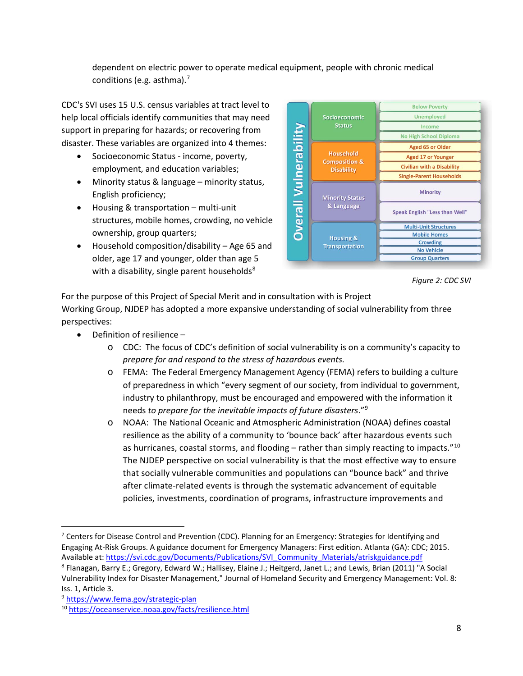dependent on electric power to operate medical equipment, people with chronic medical conditions (e.g. asthma).<sup>[7](#page-7-0)</sup>

CDC's SVI uses 15 U.S. census variables at tract level to help local officials identify communities that may need support in preparing for hazards; or recovering from disaster. These variables are organized into 4 themes:

- Socioeconomic Status income, poverty, employment, and education variables;
- Minority status & language minority status, English proficiency;
- Housing & transportation multi-unit structures, mobile homes, crowding, no vehicle ownership, group quarters;
- Household composition/disability Age 65 and older, age 17 and younger, older than age 5 with a disability, single parent households $8$



*Figure 2: CDC SVI*

For the purpose of this Project of Special Merit and in consultation with is Project Working Group, NJDEP has adopted a more expansive understanding of social vulnerability from three perspectives:

- Definition of resilience
	- o CDC: The focus of CDC's definition of social vulnerability is on a community's capacity to *prepare for and respond to the stress of hazardous events.*
	- o FEMA:The Federal Emergency Management Agency (FEMA) refers to building a culture of preparedness in which "every segment of our society, from individual to government, industry to philanthropy, must be encouraged and empowered with the information it needs *to prepare for the inevitable impacts of future disasters*."[9](#page-7-2)
	- o NOAA: The National Oceanic and Atmospheric Administration (NOAA) defines coastal resilience as the ability of a community to 'bounce back' after hazardous events such as hurricanes, coastal storms, and flooding  $-$  rather than simply reacting to impacts."<sup>10</sup> The NJDEP perspective on social vulnerability is that the most effective way to ensure that socially vulnerable communities and populations can "bounce back" and thrive after climate-related events is through the systematic advancement of equitable policies, investments, coordination of programs, infrastructure improvements and

<span id="page-7-0"></span><sup>&</sup>lt;sup>7</sup> Centers for Disease Control and Prevention (CDC). Planning for an Emergency: Strategies for Identifying and Engaging At-Risk Groups. A guidance document for Emergency Managers: First edition. Atlanta (GA): CDC; 2015. Available at: [https://svi.cdc.gov/Documents/Publications/SVI\\_Community\\_Materials/atriskguidance.pdf](https://svi.cdc.gov/Documents/Publications/SVI_Community_Materials/atriskguidance.pdf)

<span id="page-7-1"></span><sup>8</sup> Flanagan, Barry E.; Gregory, Edward W.; Hallisey, Elaine J.; Heitgerd, Janet L.; and Lewis, Brian (2011) "A Social Vulnerability Index for Disaster Management," Journal of Homeland Security and Emergency Management: Vol. 8: Iss. 1, Article 3.

<span id="page-7-2"></span><sup>9</sup> <https://www.fema.gov/strategic-plan>

<span id="page-7-3"></span><sup>10</sup> <https://oceanservice.noaa.gov/facts/resilience.html>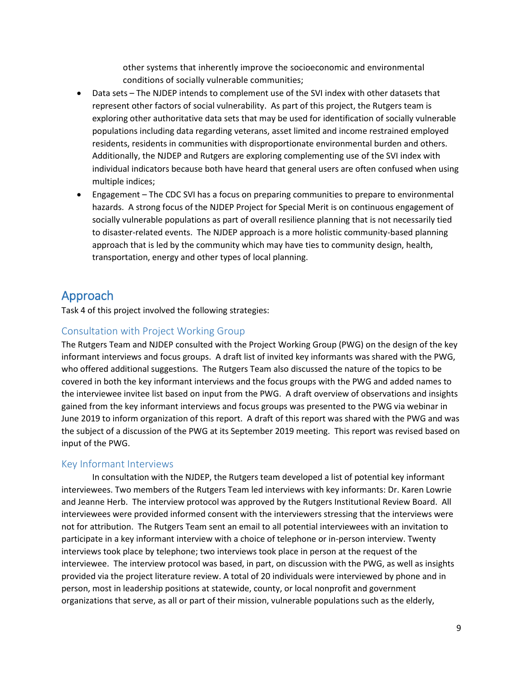other systems that inherently improve the socioeconomic and environmental conditions of socially vulnerable communities;

- Data sets The NJDEP intends to complement use of the SVI index with other datasets that represent other factors of social vulnerability. As part of this project, the Rutgers team is exploring other authoritative data sets that may be used for identification of socially vulnerable populations including data regarding veterans, asset limited and income restrained employed residents, residents in communities with disproportionate environmental burden and others. Additionally, the NJDEP and Rutgers are exploring complementing use of the SVI index with individual indicators because both have heard that general users are often confused when using multiple indices;
- Engagement The CDC SVI has a focus on preparing communities to prepare to environmental hazards. A strong focus of the NJDEP Project for Special Merit is on continuous engagement of socially vulnerable populations as part of overall resilience planning that is not necessarily tied to disaster-related events. The NJDEP approach is a more holistic community-based planning approach that is led by the community which may have ties to community design, health, transportation, energy and other types of local planning.

# <span id="page-8-0"></span>Approach

Task 4 of this project involved the following strategies:

## <span id="page-8-1"></span>Consultation with Project Working Group

The Rutgers Team and NJDEP consulted with the Project Working Group (PWG) on the design of the key informant interviews and focus groups. A draft list of invited key informants was shared with the PWG, who offered additional suggestions. The Rutgers Team also discussed the nature of the topics to be covered in both the key informant interviews and the focus groups with the PWG and added names to the interviewee invitee list based on input from the PWG. A draft overview of observations and insights gained from the key informant interviews and focus groups was presented to the PWG via webinar in June 2019 to inform organization of this report. A draft of this report was shared with the PWG and was the subject of a discussion of the PWG at its September 2019 meeting. This report was revised based on input of the PWG.

### <span id="page-8-2"></span>Key Informant Interviews

In consultation with the NJDEP, the Rutgers team developed a list of potential key informant interviewees. Two members of the Rutgers Team led interviews with key informants: Dr. Karen Lowrie and Jeanne Herb. The interview protocol was approved by the Rutgers Institutional Review Board. All interviewees were provided informed consent with the interviewers stressing that the interviews were not for attribution. The Rutgers Team sent an email to all potential interviewees with an invitation to participate in a key informant interview with a choice of telephone or in-person interview. Twenty interviews took place by telephone; two interviews took place in person at the request of the interviewee. The interview protocol was based, in part, on discussion with the PWG, as well as insights provided via the project literature review. A total of 20 individuals were interviewed by phone and in person, most in leadership positions at statewide, county, or local nonprofit and government organizations that serve, as all or part of their mission, vulnerable populations such as the elderly,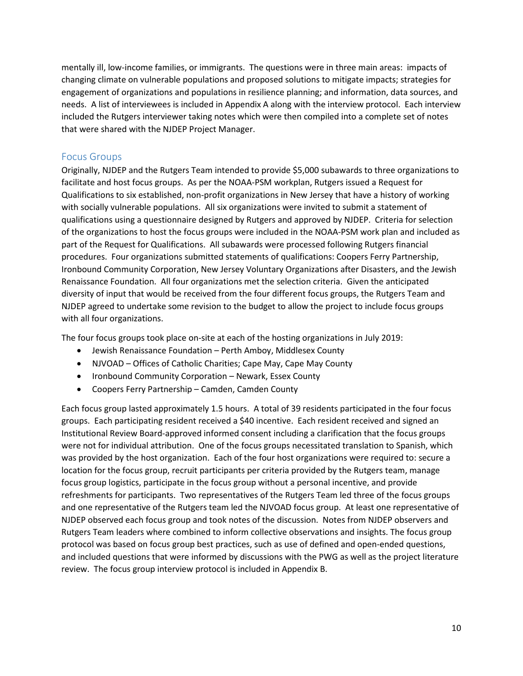mentally ill, low-income families, or immigrants. The questions were in three main areas: impacts of changing climate on vulnerable populations and proposed solutions to mitigate impacts; strategies for engagement of organizations and populations in resilience planning; and information, data sources, and needs. A list of interviewees is included in Appendix A along with the interview protocol. Each interview included the Rutgers interviewer taking notes which were then compiled into a complete set of notes that were shared with the NJDEP Project Manager.

### <span id="page-9-0"></span>Focus Groups

Originally, NJDEP and the Rutgers Team intended to provide \$5,000 subawards to three organizations to facilitate and host focus groups. As per the NOAA-PSM workplan, Rutgers issued a Request for Qualifications to six established, non-profit organizations in New Jersey that have a history of working with socially vulnerable populations. All six organizations were invited to submit a statement of qualifications using a questionnaire designed by Rutgers and approved by NJDEP. Criteria for selection of the organizations to host the focus groups were included in the NOAA-PSM work plan and included as part of the Request for Qualifications. All subawards were processed following Rutgers financial procedures. Four organizations submitted statements of qualifications: Coopers Ferry Partnership, Ironbound Community Corporation, New Jersey Voluntary Organizations after Disasters, and the Jewish Renaissance Foundation. All four organizations met the selection criteria. Given the anticipated diversity of input that would be received from the four different focus groups, the Rutgers Team and NJDEP agreed to undertake some revision to the budget to allow the project to include focus groups with all four organizations.

The four focus groups took place on-site at each of the hosting organizations in July 2019:

- Jewish Renaissance Foundation Perth Amboy, Middlesex County
- NJVOAD Offices of Catholic Charities; Cape May, Cape May County
- Ironbound Community Corporation Newark, Essex County
- Coopers Ferry Partnership Camden, Camden County

Each focus group lasted approximately 1.5 hours. A total of 39 residents participated in the four focus groups. Each participating resident received a \$40 incentive. Each resident received and signed an Institutional Review Board-approved informed consent including a clarification that the focus groups were not for individual attribution. One of the focus groups necessitated translation to Spanish, which was provided by the host organization. Each of the four host organizations were required to: secure a location for the focus group, recruit participants per criteria provided by the Rutgers team, manage focus group logistics, participate in the focus group without a personal incentive, and provide refreshments for participants. Two representatives of the Rutgers Team led three of the focus groups and one representative of the Rutgers team led the NJVOAD focus group. At least one representative of NJDEP observed each focus group and took notes of the discussion. Notes from NJDEP observers and Rutgers Team leaders where combined to inform collective observations and insights. The focus group protocol was based on focus group best practices, such as use of defined and open-ended questions, and included questions that were informed by discussions with the PWG as well as the project literature review. The focus group interview protocol is included in Appendix B.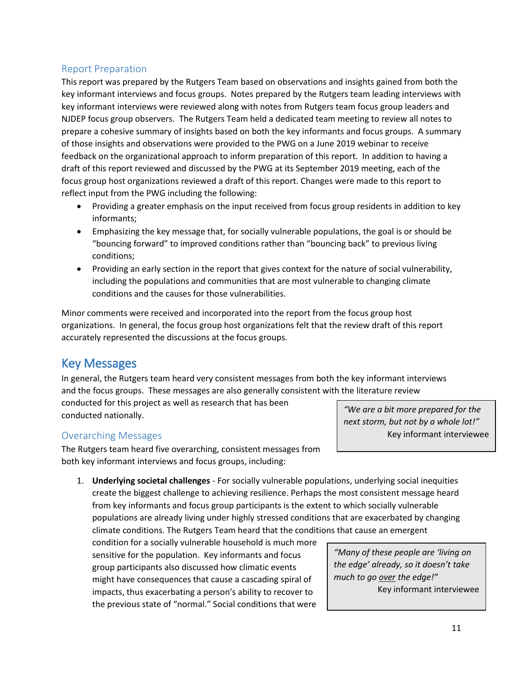### <span id="page-10-0"></span>Report Preparation

This report was prepared by the Rutgers Team based on observations and insights gained from both the key informant interviews and focus groups. Notes prepared by the Rutgers team leading interviews with key informant interviews were reviewed along with notes from Rutgers team focus group leaders and NJDEP focus group observers. The Rutgers Team held a dedicated team meeting to review all notes to prepare a cohesive summary of insights based on both the key informants and focus groups. A summary of those insights and observations were provided to the PWG on a June 2019 webinar to receive feedback on the organizational approach to inform preparation of this report. In addition to having a draft of this report reviewed and discussed by the PWG at its September 2019 meeting, each of the focus group host organizations reviewed a draft of this report. Changes were made to this report to reflect input from the PWG including the following:

- Providing a greater emphasis on the input received from focus group residents in addition to key informants;
- Emphasizing the key message that, for socially vulnerable populations, the goal is or should be "bouncing forward" to improved conditions rather than "bouncing back" to previous living conditions;
- Providing an early section in the report that gives context for the nature of social vulnerability, including the populations and communities that are most vulnerable to changing climate conditions and the causes for those vulnerabilities.

Minor comments were received and incorporated into the report from the focus group host organizations. In general, the focus group host organizations felt that the review draft of this report accurately represented the discussions at the focus groups.

## <span id="page-10-1"></span>Key Messages

In general, the Rutgers team heard very consistent messages from both the key informant interviews and the focus groups. These messages are also generally consistent with the literature review conducted for this project as well as research that has been conducted nationally.

### <span id="page-10-2"></span>Overarching Messages

The Rutgers team heard five overarching, consistent messages from both key informant interviews and focus groups, including:

1. **Underlying societal challenges** - For socially vulnerable populations, underlying social inequities create the biggest challenge to achieving resilience. Perhaps the most consistent message heard from key informants and focus group participants is the extent to which socially vulnerable populations are already living under highly stressed conditions that are exacerbated by changing climate conditions. The Rutgers Team heard that the conditions that cause an emergent

condition for a socially vulnerable household is much more sensitive for the population. Key informants and focus group participants also discussed how climatic events might have consequences that cause a cascading spiral of impacts, thus exacerbating a person's ability to recover to the previous state of "normal." Social conditions that were *"We are a bit more prepared for the next storm, but not by a whole lot!"* Key informant interviewee

*"Many of these people are 'living on the edge' already, so it doesn't take much to go over the edge!"* Key informant interviewee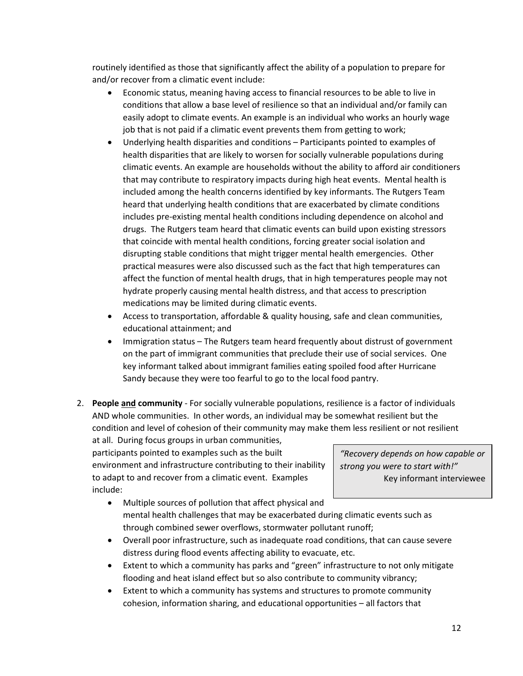routinely identified as those that significantly affect the ability of a population to prepare for and/or recover from a climatic event include:

- Economic status, meaning having access to financial resources to be able to live in conditions that allow a base level of resilience so that an individual and/or family can easily adopt to climate events. An example is an individual who works an hourly wage job that is not paid if a climatic event prevents them from getting to work;
- Underlying health disparities and conditions Participants pointed to examples of health disparities that are likely to worsen for socially vulnerable populations during climatic events. An example are households without the ability to afford air conditioners that may contribute to respiratory impacts during high heat events. Mental health is included among the health concerns identified by key informants. The Rutgers Team heard that underlying health conditions that are exacerbated by climate conditions includes pre-existing mental health conditions including dependence on alcohol and drugs. The Rutgers team heard that climatic events can build upon existing stressors that coincide with mental health conditions, forcing greater social isolation and disrupting stable conditions that might trigger mental health emergencies. Other practical measures were also discussed such as the fact that high temperatures can affect the function of mental health drugs, that in high temperatures people may not hydrate properly causing mental health distress, and that access to prescription medications may be limited during climatic events.
- Access to transportation, affordable & quality housing, safe and clean communities, educational attainment; and
- Immigration status The Rutgers team heard frequently about distrust of government on the part of immigrant communities that preclude their use of social services. One key informant talked about immigrant families eating spoiled food after Hurricane Sandy because they were too fearful to go to the local food pantry.
- 2. **People and community** For socially vulnerable populations, resilience is a factor of individuals AND whole communities. In other words, an individual may be somewhat resilient but the condition and level of cohesion of their community may make them less resilient or not resilient

at all. During focus groups in urban communities, participants pointed to examples such as the built environment and infrastructure contributing to their inability to adapt to and recover from a climatic event. Examples include:

*"Recovery depends on how capable or strong you were to start with!"* Key informant interviewee

- Multiple sources of pollution that affect physical and mental health challenges that may be exacerbated during climatic events such as through combined sewer overflows, stormwater pollutant runoff;
- Overall poor infrastructure, such as inadequate road conditions, that can cause severe distress during flood events affecting ability to evacuate, etc.
- Extent to which a community has parks and "green" infrastructure to not only mitigate flooding and heat island effect but so also contribute to community vibrancy;
- Extent to which a community has systems and structures to promote community cohesion, information sharing, and educational opportunities – all factors that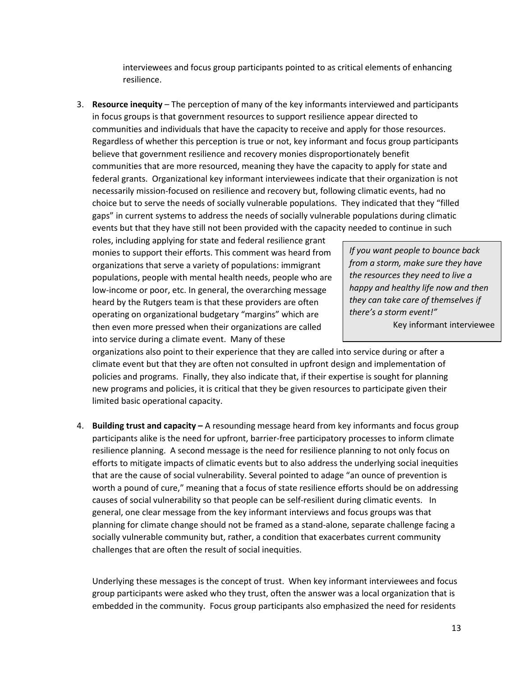interviewees and focus group participants pointed to as critical elements of enhancing resilience.

3. **Resource inequity** – The perception of many of the key informants interviewed and participants in focus groups is that government resources to support resilience appear directed to communities and individuals that have the capacity to receive and apply for those resources. Regardless of whether this perception is true or not, key informant and focus group participants believe that government resilience and recovery monies disproportionately benefit communities that are more resourced, meaning they have the capacity to apply for state and federal grants. Organizational key informant interviewees indicate that their organization is not necessarily mission-focused on resilience and recovery but, following climatic events, had no choice but to serve the needs of socially vulnerable populations. They indicated that they "filled gaps" in current systems to address the needs of socially vulnerable populations during climatic events but that they have still not been provided with the capacity needed to continue in such

roles, including applying for state and federal resilience grant monies to support their efforts. This comment was heard from organizations that serve a variety of populations: immigrant populations, people with mental health needs, people who are low-income or poor, etc. In general, the overarching message heard by the Rutgers team is that these providers are often operating on organizational budgetary "margins" which are then even more pressed when their organizations are called into service during a climate event. Many of these

*If you want people to bounce back from a storm, make sure they have the resources they need to live a happy and healthy life now and then they can take care of themselves if there's a storm event!"* Key informant interviewee

organizations also point to their experience that they are called into service during or after a climate event but that they are often not consulted in upfront design and implementation of policies and programs. Finally, they also indicate that, if their expertise is sought for planning new programs and policies, it is critical that they be given resources to participate given their limited basic operational capacity.

4. **Building trust and capacity –** A resounding message heard from key informants and focus group participants alike is the need for upfront, barrier-free participatory processes to inform climate resilience planning. A second message is the need for resilience planning to not only focus on efforts to mitigate impacts of climatic events but to also address the underlying social inequities that are the cause of social vulnerability. Several pointed to adage "an ounce of prevention is worth a pound of cure," meaning that a focus of state resilience efforts should be on addressing causes of social vulnerability so that people can be self-resilient during climatic events. In general, one clear message from the key informant interviews and focus groups was that planning for climate change should not be framed as a stand-alone, separate challenge facing a socially vulnerable community but, rather, a condition that exacerbates current community challenges that are often the result of social inequities.

Underlying these messages is the concept of trust. When key informant interviewees and focus group participants were asked who they trust, often the answer was a local organization that is embedded in the community. Focus group participants also emphasized the need for residents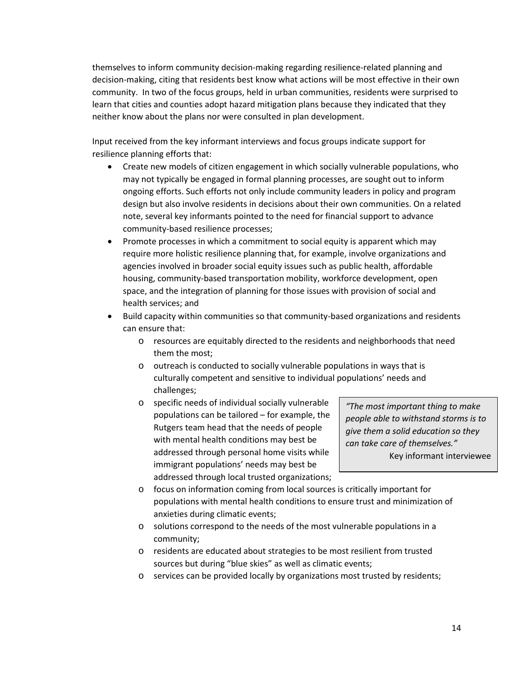themselves to inform community decision-making regarding resilience-related planning and decision-making, citing that residents best know what actions will be most effective in their own community. In two of the focus groups, held in urban communities, residents were surprised to learn that cities and counties adopt hazard mitigation plans because they indicated that they neither know about the plans nor were consulted in plan development.

Input received from the key informant interviews and focus groups indicate support for resilience planning efforts that:

- Create new models of citizen engagement in which socially vulnerable populations, who may not typically be engaged in formal planning processes, are sought out to inform ongoing efforts. Such efforts not only include community leaders in policy and program design but also involve residents in decisions about their own communities. On a related note, several key informants pointed to the need for financial support to advance community-based resilience processes;
- Promote processes in which a commitment to social equity is apparent which may require more holistic resilience planning that, for example, involve organizations and agencies involved in broader social equity issues such as public health, affordable housing, community-based transportation mobility, workforce development, open space, and the integration of planning for those issues with provision of social and health services; and
- Build capacity within communities so that community-based organizations and residents can ensure that:
	- o resources are equitably directed to the residents and neighborhoods that need them the most;
	- o outreach is conducted to socially vulnerable populations in ways that is culturally competent and sensitive to individual populations' needs and challenges;
	- o specific needs of individual socially vulnerable populations can be tailored – for example, the Rutgers team head that the needs of people with mental health conditions may best be addressed through personal home visits while immigrant populations' needs may best be addressed through local trusted organizations;

*"The most important thing to make people able to withstand storms is to give them a solid education so they can take care of themselves."* Key informant interviewee

- o focus on information coming from local sources is critically important for populations with mental health conditions to ensure trust and minimization of anxieties during climatic events;
- o solutions correspond to the needs of the most vulnerable populations in a community;
- o residents are educated about strategies to be most resilient from trusted sources but during "blue skies" as well as climatic events;
- o services can be provided locally by organizations most trusted by residents;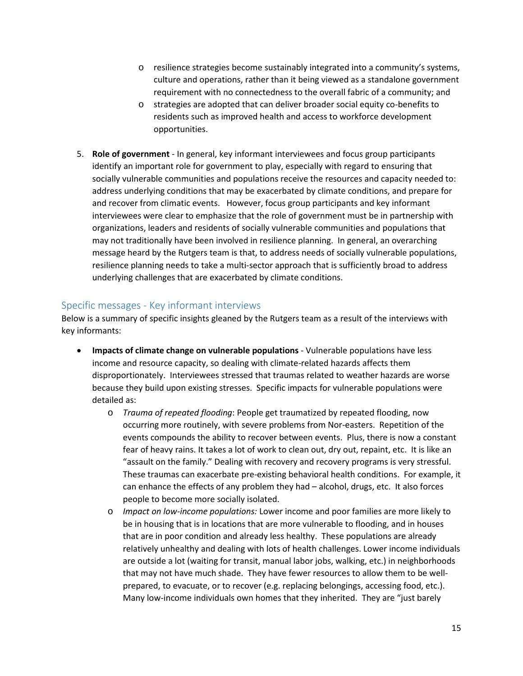- o resilience strategies become sustainably integrated into a community's systems, culture and operations, rather than it being viewed as a standalone government requirement with no connectedness to the overall fabric of a community; and
- o strategies are adopted that can deliver broader social equity co-benefits to residents such as improved health and access to workforce development opportunities.
- 5. **Role of government**  In general, key informant interviewees and focus group participants identify an important role for government to play, especially with regard to ensuring that socially vulnerable communities and populations receive the resources and capacity needed to: address underlying conditions that may be exacerbated by climate conditions, and prepare for and recover from climatic events. However, focus group participants and key informant interviewees were clear to emphasize that the role of government must be in partnership with organizations, leaders and residents of socially vulnerable communities and populations that may not traditionally have been involved in resilience planning. In general, an overarching message heard by the Rutgers team is that, to address needs of socially vulnerable populations, resilience planning needs to take a multi-sector approach that is sufficiently broad to address underlying challenges that are exacerbated by climate conditions.

### <span id="page-14-0"></span>Specific messages - Key informant interviews

Below is a summary of specific insights gleaned by the Rutgers team as a result of the interviews with key informants:

- **Impacts of climate change on vulnerable populations** Vulnerable populations have less income and resource capacity, so dealing with climate-related hazards affects them disproportionately. Interviewees stressed that traumas related to weather hazards are worse because they build upon existing stresses. Specific impacts for vulnerable populations were detailed as:
	- o *Trauma of repeated flooding*: People get traumatized by repeated flooding, now occurring more routinely, with severe problems from Nor-easters. Repetition of the events compounds the ability to recover between events. Plus, there is now a constant fear of heavy rains. It takes a lot of work to clean out, dry out, repaint, etc. It is like an "assault on the family." Dealing with recovery and recovery programs is very stressful. These traumas can exacerbate pre-existing behavioral health conditions. For example, it can enhance the effects of any problem they had – alcohol, drugs, etc. It also forces people to become more socially isolated.
	- o *Impact on low-income populations:* Lower income and poor families are more likely to be in housing that is in locations that are more vulnerable to flooding, and in houses that are in poor condition and already less healthy. These populations are already relatively unhealthy and dealing with lots of health challenges. Lower income individuals are outside a lot (waiting for transit, manual labor jobs, walking, etc.) in neighborhoods that may not have much shade. They have fewer resources to allow them to be wellprepared, to evacuate, or to recover (e.g. replacing belongings, accessing food, etc.). Many low-income individuals own homes that they inherited. They are "just barely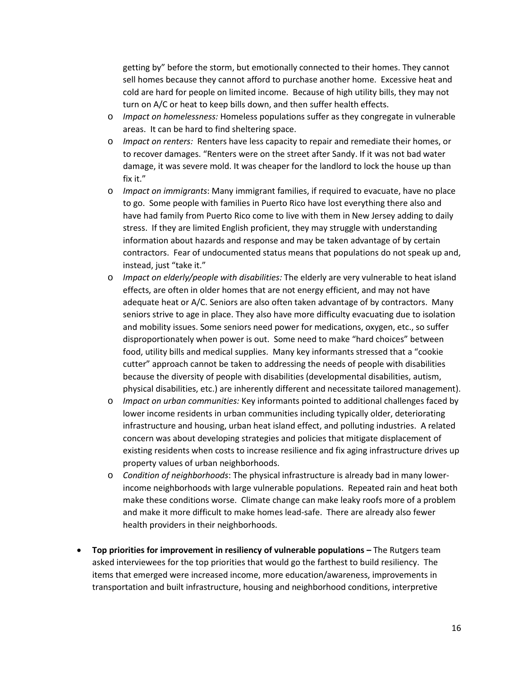getting by" before the storm, but emotionally connected to their homes. They cannot sell homes because they cannot afford to purchase another home. Excessive heat and cold are hard for people on limited income. Because of high utility bills, they may not turn on A/C or heat to keep bills down, and then suffer health effects.

- o *Impact on homelessness:* Homeless populations suffer as they congregate in vulnerable areas. It can be hard to find sheltering space.
- o *Impact on renters:* Renters have less capacity to repair and remediate their homes, or to recover damages. "Renters were on the street after Sandy. If it was not bad water damage, it was severe mold. It was cheaper for the landlord to lock the house up than fix it."
- o *Impact on immigrants*: Many immigrant families, if required to evacuate, have no place to go. Some people with families in Puerto Rico have lost everything there also and have had family from Puerto Rico come to live with them in New Jersey adding to daily stress. If they are limited English proficient, they may struggle with understanding information about hazards and response and may be taken advantage of by certain contractors. Fear of undocumented status means that populations do not speak up and, instead, just "take it."
- o *Impact on elderly/people with disabilities:* The elderly are very vulnerable to heat island effects, are often in older homes that are not energy efficient, and may not have adequate heat or A/C. Seniors are also often taken advantage of by contractors. Many seniors strive to age in place. They also have more difficulty evacuating due to isolation and mobility issues. Some seniors need power for medications, oxygen, etc., so suffer disproportionately when power is out. Some need to make "hard choices" between food, utility bills and medical supplies. Many key informants stressed that a "cookie cutter" approach cannot be taken to addressing the needs of people with disabilities because the diversity of people with disabilities (developmental disabilities, autism, physical disabilities, etc.) are inherently different and necessitate tailored management).
- o *Impact on urban communities:* Key informants pointed to additional challenges faced by lower income residents in urban communities including typically older, deteriorating infrastructure and housing, urban heat island effect, and polluting industries. A related concern was about developing strategies and policies that mitigate displacement of existing residents when costs to increase resilience and fix aging infrastructure drives up property values of urban neighborhoods.
- o *Condition of neighborhoods*: The physical infrastructure is already bad in many lowerincome neighborhoods with large vulnerable populations. Repeated rain and heat both make these conditions worse. Climate change can make leaky roofs more of a problem and make it more difficult to make homes lead-safe. There are already also fewer health providers in their neighborhoods.
- **Top priorities for improvement in resiliency of vulnerable populations –** The Rutgers team asked interviewees for the top priorities that would go the farthest to build resiliency. The items that emerged were increased income, more education/awareness, improvements in transportation and built infrastructure, housing and neighborhood conditions, interpretive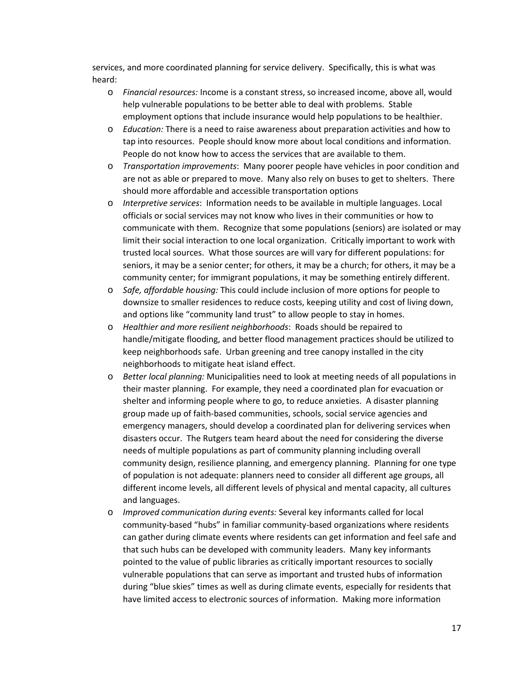services, and more coordinated planning for service delivery. Specifically, this is what was heard:

- o *Financial resources:* Income is a constant stress, so increased income, above all, would help vulnerable populations to be better able to deal with problems. Stable employment options that include insurance would help populations to be healthier.
- o *Education:* There is a need to raise awareness about preparation activities and how to tap into resources. People should know more about local conditions and information. People do not know how to access the services that are available to them.
- o *Transportation improvements*: Many poorer people have vehicles in poor condition and are not as able or prepared to move. Many also rely on buses to get to shelters. There should more affordable and accessible transportation options
- o *Interpretive services*: Information needs to be available in multiple languages. Local officials or social services may not know who lives in their communities or how to communicate with them. Recognize that some populations (seniors) are isolated or may limit their social interaction to one local organization. Critically important to work with trusted local sources. What those sources are will vary for different populations: for seniors, it may be a senior center; for others, it may be a church; for others, it may be a community center; for immigrant populations, it may be something entirely different.
- o *Safe, affordable housing:* This could include inclusion of more options for people to downsize to smaller residences to reduce costs, keeping utility and cost of living down, and options like "community land trust" to allow people to stay in homes.
- o *Healthier and more resilient neighborhoods*: Roads should be repaired to handle/mitigate flooding, and better flood management practices should be utilized to keep neighborhoods safe. Urban greening and tree canopy installed in the city neighborhoods to mitigate heat island effect.
- o *Better local planning:* Municipalities need to look at meeting needs of all populations in their master planning. For example, they need a coordinated plan for evacuation or shelter and informing people where to go, to reduce anxieties. A disaster planning group made up of faith-based communities, schools, social service agencies and emergency managers, should develop a coordinated plan for delivering services when disasters occur. The Rutgers team heard about the need for considering the diverse needs of multiple populations as part of community planning including overall community design, resilience planning, and emergency planning. Planning for one type of population is not adequate: planners need to consider all different age groups, all different income levels, all different levels of physical and mental capacity, all cultures and languages.
- o *Improved communication during events:* Several key informants called for local community-based "hubs" in familiar community-based organizations where residents can gather during climate events where residents can get information and feel safe and that such hubs can be developed with community leaders. Many key informants pointed to the value of public libraries as critically important resources to socially vulnerable populations that can serve as important and trusted hubs of information during "blue skies" times as well as during climate events, especially for residents that have limited access to electronic sources of information. Making more information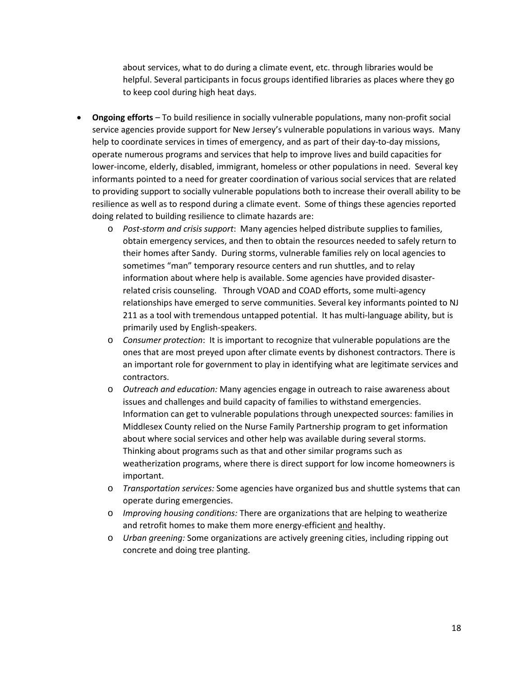about services, what to do during a climate event, etc. through libraries would be helpful. Several participants in focus groups identified libraries as places where they go to keep cool during high heat days.

- **Ongoing efforts** To build resilience in socially vulnerable populations, many non-profit social service agencies provide support for New Jersey's vulnerable populations in various ways. Many help to coordinate services in times of emergency, and as part of their day-to-day missions, operate numerous programs and services that help to improve lives and build capacities for lower-income, elderly, disabled, immigrant, homeless or other populations in need. Several key informants pointed to a need for greater coordination of various social services that are related to providing support to socially vulnerable populations both to increase their overall ability to be resilience as well as to respond during a climate event. Some of things these agencies reported doing related to building resilience to climate hazards are:
	- o *Post-storm and crisis support*: Many agencies helped distribute supplies to families, obtain emergency services, and then to obtain the resources needed to safely return to their homes after Sandy. During storms, vulnerable families rely on local agencies to sometimes "man" temporary resource centers and run shuttles, and to relay information about where help is available. Some agencies have provided disasterrelated crisis counseling. Through VOAD and COAD efforts, some multi-agency relationships have emerged to serve communities. Several key informants pointed to NJ 211 as a tool with tremendous untapped potential. It has multi-language ability, but is primarily used by English-speakers.
	- o *Consumer protection*: It is important to recognize that vulnerable populations are the ones that are most preyed upon after climate events by dishonest contractors. There is an important role for government to play in identifying what are legitimate services and contractors.
	- o *Outreach and education:* Many agencies engage in outreach to raise awareness about issues and challenges and build capacity of families to withstand emergencies. Information can get to vulnerable populations through unexpected sources: families in Middlesex County relied on the Nurse Family Partnership program to get information about where social services and other help was available during several storms. Thinking about programs such as that and other similar programs such as weatherization programs, where there is direct support for low income homeowners is important.
	- o *Transportation services:* Some agencies have organized bus and shuttle systems that can operate during emergencies.
	- o *Improving housing conditions:* There are organizations that are helping to weatherize and retrofit homes to make them more energy-efficient and healthy.
	- o *Urban greening:* Some organizations are actively greening cities, including ripping out concrete and doing tree planting.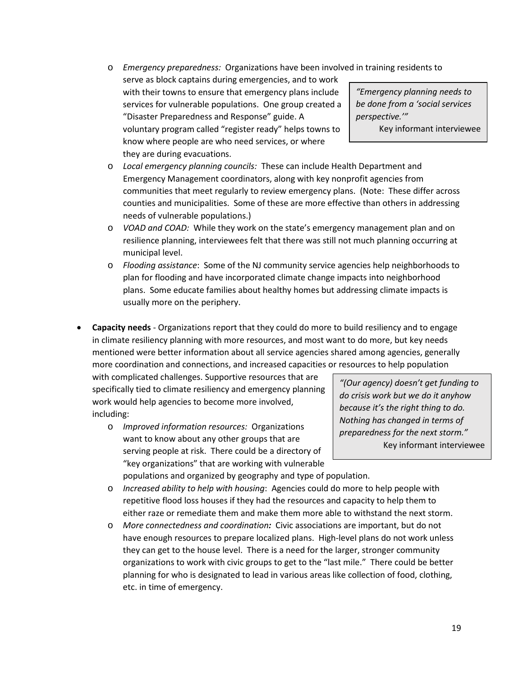o *Emergency preparedness:* Organizations have been involved in training residents to

serve as block captains during emergencies, and to work with their towns to ensure that emergency plans include services for vulnerable populations. One group created a "Disaster Preparedness and Response" guide. A voluntary program called "register ready" helps towns to know where people are who need services, or where they are during evacuations.

*"Emergency planning needs to be done from a 'social services perspective.'"*

Key informant interviewee

- o *Local emergency planning councils:* These can include Health Department and Emergency Management coordinators, along with key nonprofit agencies from communities that meet regularly to review emergency plans. (Note: These differ across counties and municipalities. Some of these are more effective than others in addressing needs of vulnerable populations.)
- o *VOAD and COAD:* While they work on the state's emergency management plan and on resilience planning, interviewees felt that there was still not much planning occurring at municipal level.
- o *Flooding assistance*: Some of the NJ community service agencies help neighborhoods to plan for flooding and have incorporated climate change impacts into neighborhood plans. Some educate families about healthy homes but addressing climate impacts is usually more on the periphery.
- **Capacity needs** Organizations report that they could do more to build resiliency and to engage in climate resiliency planning with more resources, and most want to do more, but key needs mentioned were better information about all service agencies shared among agencies, generally more coordination and connections, and increased capacities or resources to help population

with complicated challenges. Supportive resources that are specifically tied to climate resiliency and emergency planning work would help agencies to become more involved, including:

o *Improved information resources:* Organizations want to know about any other groups that are serving people at risk. There could be a directory of "key organizations" that are working with vulnerable

*"(Our agency) doesn't get funding to do crisis work but we do it anyhow because it's the right thing to do. Nothing has changed in terms of preparedness for the next storm."* Key informant interviewee

- populations and organized by geography and type of population.
- o *Increased ability to help with housing*: Agencies could do more to help people with repetitive flood loss houses if they had the resources and capacity to help them to either raze or remediate them and make them more able to withstand the next storm.
- o *More connectedness and coordination:* Civic associations are important, but do not have enough resources to prepare localized plans. High-level plans do not work unless they can get to the house level. There is a need for the larger, stronger community organizations to work with civic groups to get to the "last mile." There could be better planning for who is designated to lead in various areas like collection of food, clothing, etc. in time of emergency.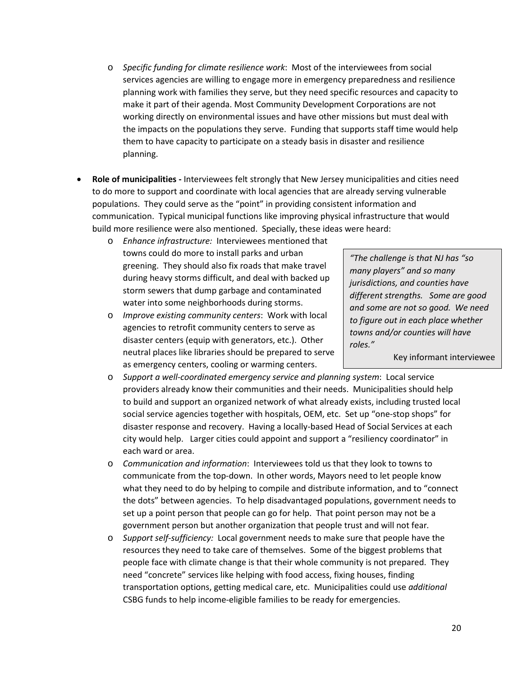- o *Specific funding for climate resilience work*: Most of the interviewees from social services agencies are willing to engage more in emergency preparedness and resilience planning work with families they serve, but they need specific resources and capacity to make it part of their agenda. Most Community Development Corporations are not working directly on environmental issues and have other missions but must deal with the impacts on the populations they serve. Funding that supports staff time would help them to have capacity to participate on a steady basis in disaster and resilience planning.
- **Role of municipalities -** Interviewees felt strongly that New Jersey municipalities and cities need to do more to support and coordinate with local agencies that are already serving vulnerable populations. They could serve as the "point" in providing consistent information and communication. Typical municipal functions like improving physical infrastructure that would build more resilience were also mentioned. Specially, these ideas were heard:
	- o *Enhance infrastructure:* Interviewees mentioned that towns could do more to install parks and urban greening. They should also fix roads that make travel during heavy storms difficult, and deal with backed up storm sewers that dump garbage and contaminated water into some neighborhoods during storms.
	- o *Improve existing community centers*: Work with local agencies to retrofit community centers to serve as disaster centers (equip with generators, etc.). Other neutral places like libraries should be prepared to serve as emergency centers, cooling or warming centers.

*"The challenge is that NJ has "so many players" and so many jurisdictions, and counties have different strengths. Some are good and some are not so good. We need to figure out in each place whether towns and/or counties will have roles."*

Key informant interviewee

- o *Support a well-coordinated emergency service and planning system*: Local service providers already know their communities and their needs. Municipalities should help to build and support an organized network of what already exists, including trusted local social service agencies together with hospitals, OEM, etc. Set up "one-stop shops" for disaster response and recovery. Having a locally-based Head of Social Services at each city would help. Larger cities could appoint and support a "resiliency coordinator" in each ward or area.
- o *Communication and information*: Interviewees told us that they look to towns to communicate from the top-down. In other words, Mayors need to let people know what they need to do by helping to compile and distribute information, and to "connect the dots" between agencies. To help disadvantaged populations, government needs to set up a point person that people can go for help. That point person may not be a government person but another organization that people trust and will not fear*.*
- o *Support self-sufficiency:* Local government needs to make sure that people have the resources they need to take care of themselves. Some of the biggest problems that people face with climate change is that their whole community is not prepared. They need "concrete" services like helping with food access, fixing houses, finding transportation options, getting medical care, etc. Municipalities could use *additional*  CSBG funds to help income-eligible families to be ready for emergencies.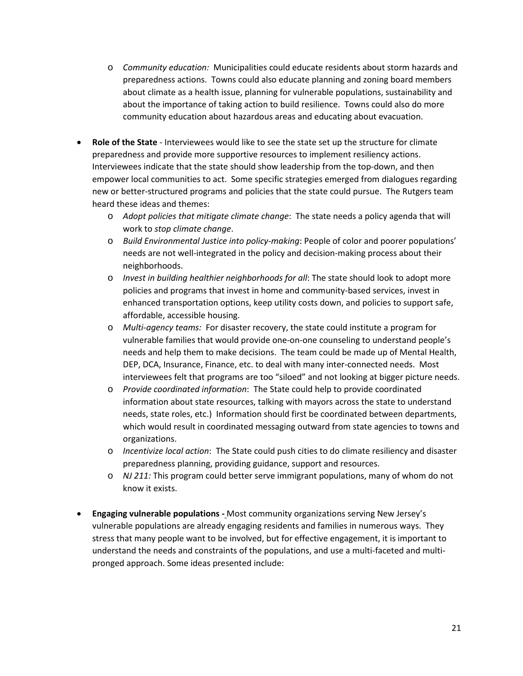- o *Community education:* Municipalities could educate residents about storm hazards and preparedness actions. Towns could also educate planning and zoning board members about climate as a health issue, planning for vulnerable populations, sustainability and about the importance of taking action to build resilience. Towns could also do more community education about hazardous areas and educating about evacuation.
- **Role of the State** Interviewees would like to see the state set up the structure for climate preparedness and provide more supportive resources to implement resiliency actions. Interviewees indicate that the state should show leadership from the top-down, and then empower local communities to act. Some specific strategies emerged from dialogues regarding new or better-structured programs and policies that the state could pursue. The Rutgers team heard these ideas and themes:
	- o *Adopt policies that mitigate climate change*: The state needs a policy agenda that will work to *stop climate change*.
	- o *Build Environmental Justice into policy-making*: People of color and poorer populations' needs are not well-integrated in the policy and decision-making process about their neighborhoods.
	- o *Invest in building healthier neighborhoods for all*: The state should look to adopt more policies and programs that invest in home and community-based services, invest in enhanced transportation options, keep utility costs down, and policies to support safe, affordable, accessible housing.
	- o *Multi-agency teams:* For disaster recovery, the state could institute a program for vulnerable families that would provide one-on-one counseling to understand people's needs and help them to make decisions. The team could be made up of Mental Health, DEP, DCA, Insurance, Finance, etc. to deal with many inter-connected needs. Most interviewees felt that programs are too "siloed" and not looking at bigger picture needs.
	- o *Provide coordinated information*: The State could help to provide coordinated information about state resources, talking with mayors across the state to understand needs, state roles, etc.) Information should first be coordinated between departments, which would result in coordinated messaging outward from state agencies to towns and organizations.
	- o *Incentivize local action*: The State could push cities to do climate resiliency and disaster preparedness planning, providing guidance, support and resources.
	- o *NJ 211:* This program could better serve immigrant populations, many of whom do not know it exists.
- **Engaging vulnerable populations -** Most community organizations serving New Jersey's vulnerable populations are already engaging residents and families in numerous ways. They stress that many people want to be involved, but for effective engagement, it is important to understand the needs and constraints of the populations, and use a multi-faceted and multipronged approach. Some ideas presented include: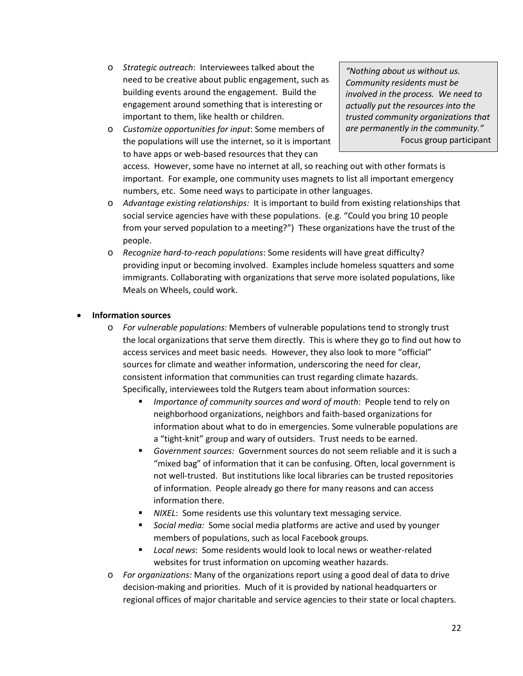- o *Strategic outreach*: Interviewees talked about the need to be creative about public engagement, such as building events around the engagement. Build the engagement around something that is interesting or important to them, like health or children.
- o *Customize opportunities for input*: Some members of the populations will use the internet, so it is important to have apps or web-based resources that they can

*"Nothing about us without us. Community residents must be involved in the process. We need to actually put the resources into the trusted community organizations that are permanently in the community."* Focus group participant

access. However, some have no internet at all, so reaching out with other formats is important. For example, one community uses magnets to list all important emergency numbers, etc. Some need ways to participate in other languages.

- o *Advantage existing relationships:* It is important to build from existing relationships that social service agencies have with these populations. (e.g. "Could you bring 10 people from your served population to a meeting?") These organizations have the trust of the people.
- o *Recognize hard-to-reach populations*: Some residents will have great difficulty? providing input or becoming involved. Examples include homeless squatters and some immigrants. Collaborating with organizations that serve more isolated populations, like Meals on Wheels, could work.

### • **Information sources**

- o *For vulnerable populations:* Members of vulnerable populations tend to strongly trust the local organizations that serve them directly. This is where they go to find out how to access services and meet basic needs. However, they also look to more "official" sources for climate and weather information, underscoring the need for clear, consistent information that communities can trust regarding climate hazards. Specifically, interviewees told the Rutgers team about information sources:
	- *Importance of community sources and word of mouth*: People tend to rely on neighborhood organizations, neighbors and faith-based organizations for information about what to do in emergencies. Some vulnerable populations are a "tight-knit" group and wary of outsiders. Trust needs to be earned.
	- *Government sources:* Government sources do not seem reliable and it is such a "mixed bag" of information that it can be confusing. Often, local government is not well-trusted. But institutions like local libraries can be trusted repositories of information. People already go there for many reasons and can access information there.
	- *NIXEL*: Some residents use this voluntary text messaging service.
	- *Social media:* Some social media platforms are active and used by younger members of populations, such as local Facebook groups.
	- *Local news*: Some residents would look to local news or weather-related websites for trust information on upcoming weather hazards.
- o *For organizations:* Many of the organizations report using a good deal of data to drive decision-making and priorities. Much of it is provided by national headquarters or regional offices of major charitable and service agencies to their state or local chapters.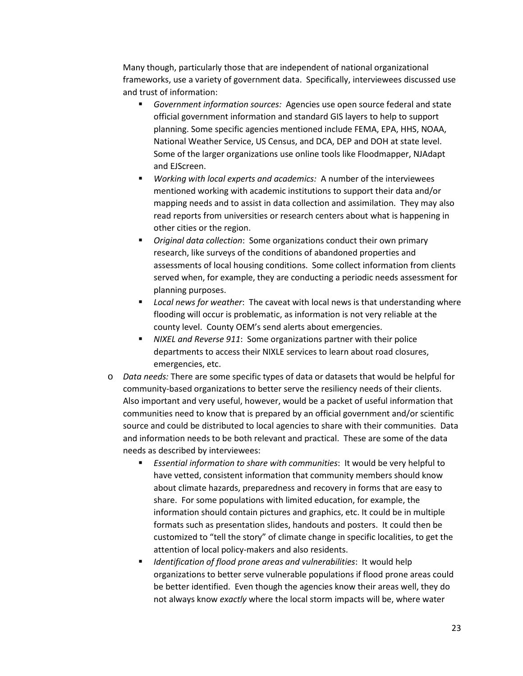Many though, particularly those that are independent of national organizational frameworks, use a variety of government data. Specifically, interviewees discussed use and trust of information:

- *Government information sources:* Agencies use open source federal and state official government information and standard GIS layers to help to support planning. Some specific agencies mentioned include FEMA, EPA, HHS, NOAA, National Weather Service, US Census, and DCA, DEP and DOH at state level. Some of the larger organizations use online tools like Floodmapper, NJAdapt and EJScreen.
- *Working with local experts and academics:* A number of the interviewees mentioned working with academic institutions to support their data and/or mapping needs and to assist in data collection and assimilation. They may also read reports from universities or research centers about what is happening in other cities or the region.
- *Original data collection*: Some organizations conduct their own primary research, like surveys of the conditions of abandoned properties and assessments of local housing conditions. Some collect information from clients served when, for example, they are conducting a periodic needs assessment for planning purposes.
- *Local news for weather*: The caveat with local news is that understanding where flooding will occur is problematic, as information is not very reliable at the county level. County OEM's send alerts about emergencies.
- *NIXEL and Reverse 911*: Some organizations partner with their police departments to access their NIXLE services to learn about road closures, emergencies, etc.
- o *Data needs:* There are some specific types of data or datasets that would be helpful for community-based organizations to better serve the resiliency needs of their clients. Also important and very useful, however, would be a packet of useful information that communities need to know that is prepared by an official government and/or scientific source and could be distributed to local agencies to share with their communities. Data and information needs to be both relevant and practical. These are some of the data needs as described by interviewees:
	- *Essential information to share with communities*: It would be very helpful to have vetted, consistent information that community members should know about climate hazards, preparedness and recovery in forms that are easy to share. For some populations with limited education, for example, the information should contain pictures and graphics, etc. It could be in multiple formats such as presentation slides, handouts and posters. It could then be customized to "tell the story" of climate change in specific localities, to get the attention of local policy-makers and also residents.
	- *Identification of flood prone areas and vulnerabilities*: It would help organizations to better serve vulnerable populations if flood prone areas could be better identified. Even though the agencies know their areas well, they do not always know *exactly* where the local storm impacts will be, where water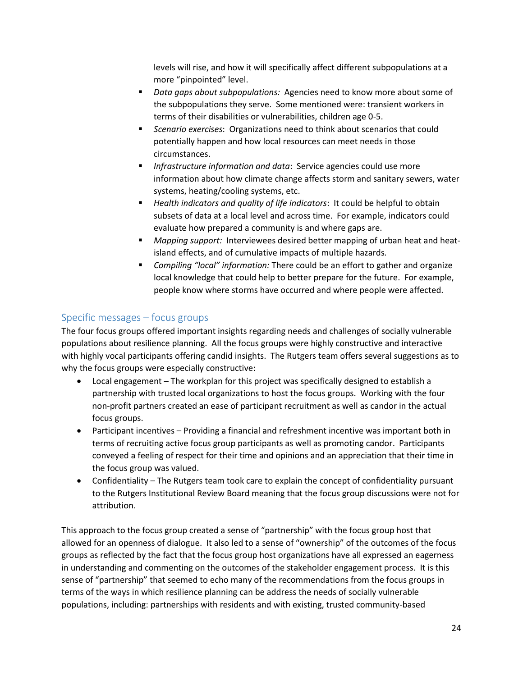levels will rise, and how it will specifically affect different subpopulations at a more "pinpointed" level.

- *Data gaps about subpopulations:* Agencies need to know more about some of the subpopulations they serve. Some mentioned were: transient workers in terms of their disabilities or vulnerabilities, children age 0-5.
- *Scenario exercises*: Organizations need to think about scenarios that could potentially happen and how local resources can meet needs in those circumstances.
- *Infrastructure information and data*: Service agencies could use more information about how climate change affects storm and sanitary sewers, water systems, heating/cooling systems, etc.
- *Health indicators and quality of life indicators*: It could be helpful to obtain subsets of data at a local level and across time. For example, indicators could evaluate how prepared a community is and where gaps are.
- *Mapping support:* Interviewees desired better mapping of urban heat and heatisland effects, and of cumulative impacts of multiple hazards*.*
- *Compiling "local" information:* There could be an effort to gather and organize local knowledge that could help to better prepare for the future. For example, people know where storms have occurred and where people were affected.

## <span id="page-23-0"></span>Specific messages – focus groups

The four focus groups offered important insights regarding needs and challenges of socially vulnerable populations about resilience planning. All the focus groups were highly constructive and interactive with highly vocal participants offering candid insights. The Rutgers team offers several suggestions as to why the focus groups were especially constructive:

- Local engagement The workplan for this project was specifically designed to establish a partnership with trusted local organizations to host the focus groups. Working with the four non-profit partners created an ease of participant recruitment as well as candor in the actual focus groups.
- Participant incentives Providing a financial and refreshment incentive was important both in terms of recruiting active focus group participants as well as promoting candor. Participants conveyed a feeling of respect for their time and opinions and an appreciation that their time in the focus group was valued.
- Confidentiality The Rutgers team took care to explain the concept of confidentiality pursuant to the Rutgers Institutional Review Board meaning that the focus group discussions were not for attribution.

This approach to the focus group created a sense of "partnership" with the focus group host that allowed for an openness of dialogue. It also led to a sense of "ownership" of the outcomes of the focus groups as reflected by the fact that the focus group host organizations have all expressed an eagerness in understanding and commenting on the outcomes of the stakeholder engagement process. It is this sense of "partnership" that seemed to echo many of the recommendations from the focus groups in terms of the ways in which resilience planning can be address the needs of socially vulnerable populations, including: partnerships with residents and with existing, trusted community-based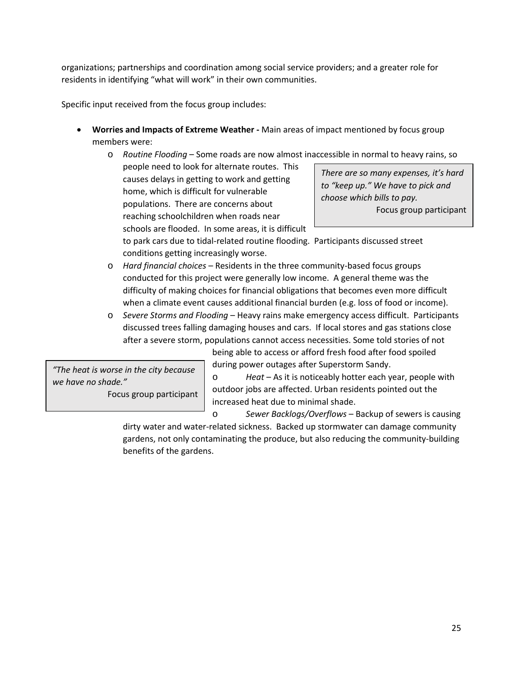organizations; partnerships and coordination among social service providers; and a greater role for residents in identifying "what will work" in their own communities.

Specific input received from the focus group includes:

- **Worries and Impacts of Extreme Weather -** Main areas of impact mentioned by focus group members were:
	- o *Routine Flooding* Some roads are now almost inaccessible in normal to heavy rains, so people need to look for alternate routes. This causes delays in getting to work and getting home, which is difficult for vulnerable *to "keep up." We have to pick and*

populations. There are concerns about reaching schoolchildren when roads near schools are flooded. In some areas, it is difficult *There are so many expenses, it's hard choose which bills to pay.* Focus group participant

to park cars due to tidal-related routine flooding. Participants discussed street conditions getting increasingly worse.

- o *Hard financial choices*  Residents in the three community-based focus groups conducted for this project were generally low income. A general theme was the difficulty of making choices for financial obligations that becomes even more difficult when a climate event causes additional financial burden (e.g. loss of food or income).
- o *Severe Storms and Flooding* Heavy rains make emergency access difficult. Participants discussed trees falling damaging houses and cars. If local stores and gas stations close after a severe storm, populations cannot access necessities. Some told stories of not

being able to access or afford fresh food after food spoiled during power outages after Superstorm Sandy.

*"The heat is worse in the city because we have no shade."* Focus group participant

o *Heat* – As it is noticeably hotter each year, people with outdoor jobs are affected. Urban residents pointed out the increased heat due to minimal shade.

o *Sewer Backlogs/Overflows* – Backup of sewers is causing dirty water and water-related sickness. Backed up stormwater can damage community gardens, not only contaminating the produce, but also reducing the community-building benefits of the gardens.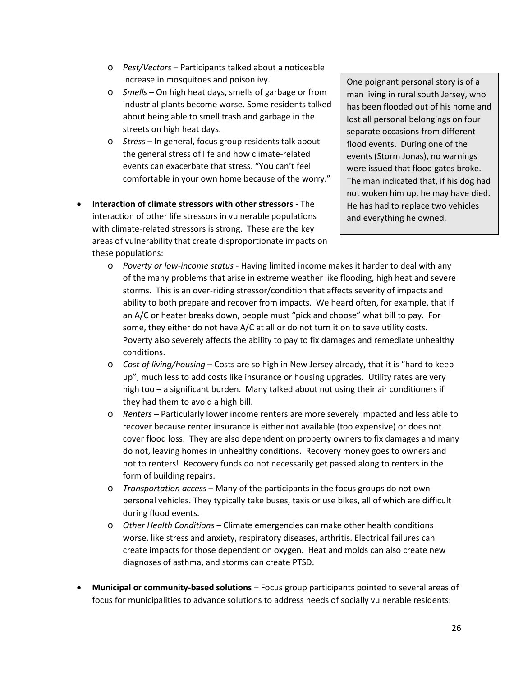- o *Pest/Vectors*  Participants talked about a noticeable increase in mosquitoes and poison ivy.
- o *Smells*  On high heat days, smells of garbage or from industrial plants become worse. Some residents talked about being able to smell trash and garbage in the streets on high heat days.
- o *Stress*  In general, focus group residents talk about the general stress of life and how climate-related events can exacerbate that stress. "You can't feel comfortable in your own home because of the worry."
- **Interaction of climate stressors with other stressors -** The interaction of other life stressors in vulnerable populations with climate-related stressors is strong. These are the key areas of vulnerability that create disproportionate impacts on these populations:

One poignant personal story is of a man living in rural south Jersey, who has been flooded out of his home and lost all personal belongings on four separate occasions from different flood events. During one of the events (Storm Jonas), no warnings were issued that flood gates broke. The man indicated that, if his dog had not woken him up, he may have died. He has had to replace two vehicles and everything he owned.

- o *Poverty or low-income status*  Having limited income makes it harder to deal with any of the many problems that arise in extreme weather like flooding, high heat and severe storms. This is an over-riding stressor/condition that affects severity of impacts and ability to both prepare and recover from impacts. We heard often, for example, that if an A/C or heater breaks down, people must "pick and choose" what bill to pay. For some, they either do not have A/C at all or do not turn it on to save utility costs. Poverty also severely affects the ability to pay to fix damages and remediate unhealthy conditions.
- o *Cost of living/housing* Costs are so high in New Jersey already, that it is "hard to keep up", much less to add costs like insurance or housing upgrades. Utility rates are very high too – a significant burden. Many talked about not using their air conditioners if they had them to avoid a high bill.
- o *Renters*  Particularly lower income renters are more severely impacted and less able to recover because renter insurance is either not available (too expensive) or does not cover flood loss. They are also dependent on property owners to fix damages and many do not, leaving homes in unhealthy conditions. Recovery money goes to owners and not to renters! Recovery funds do not necessarily get passed along to renters in the form of building repairs.
- o *Transportation access*  Many of the participants in the focus groups do not own personal vehicles. They typically take buses, taxis or use bikes, all of which are difficult during flood events.
- o *Other Health Conditions* Climate emergencies can make other health conditions worse, like stress and anxiety, respiratory diseases, arthritis. Electrical failures can create impacts for those dependent on oxygen. Heat and molds can also create new diagnoses of asthma, and storms can create PTSD.
- **Municipal or community-based solutions** Focus group participants pointed to several areas of focus for municipalities to advance solutions to address needs of socially vulnerable residents: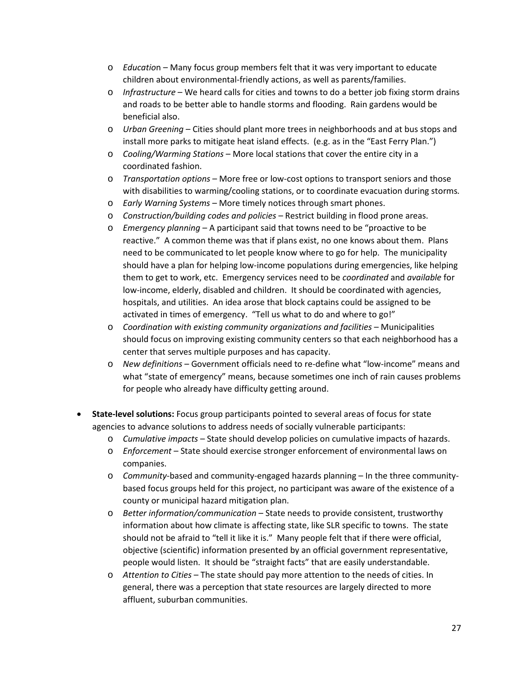- o *Educatio*n Many focus group members felt that it was very important to educate children about environmental-friendly actions, as well as parents/families.
- o *Infrastructure* We heard calls for cities and towns to do a better job fixing storm drains and roads to be better able to handle storms and flooding. Rain gardens would be beneficial also.
- o *Urban Greening*  Cities should plant more trees in neighborhoods and at bus stops and install more parks to mitigate heat island effects. (e.g. as in the "East Ferry Plan.")
- o *Cooling/Warming Stations* More local stations that cover the entire city in a coordinated fashion.
- o *Transportation options*  More free or low-cost options to transport seniors and those with disabilities to warming/cooling stations, or to coordinate evacuation during storms*.*
- o *Early Warning Systems*  More timely notices through smart phones.
- o *Construction/building codes and policies*  Restrict building in flood prone areas.
- o *Emergency planning*  A participant said that towns need to be "proactive to be reactive." A common theme was that if plans exist, no one knows about them. Plans need to be communicated to let people know where to go for help. The municipality should have a plan for helping low-income populations during emergencies, like helping them to get to work, etc. Emergency services need to be *coordinated* and *available* for low-income, elderly, disabled and children. It should be coordinated with agencies, hospitals, and utilities. An idea arose that block captains could be assigned to be activated in times of emergency. "Tell us what to do and where to go!"
- o *Coordination with existing community organizations and facilities*  Municipalities should focus on improving existing community centers so that each neighborhood has a center that serves multiple purposes and has capacity.
- o *New definitions*  Government officials need to re-define what "low-income" means and what "state of emergency" means, because sometimes one inch of rain causes problems for people who already have difficulty getting around.
- **State-level solutions:** Focus group participants pointed to several areas of focus for state agencies to advance solutions to address needs of socially vulnerable participants:
	- o *Cumulative impacts* State should develop policies on cumulative impacts of hazards.
	- o *Enforcement*  State should exercise stronger enforcement of environmental laws on companies.
	- o *Community*-based and community-engaged hazards planning In the three communitybased focus groups held for this project, no participant was aware of the existence of a county or municipal hazard mitigation plan.
	- o *Better information/communication*  State needs to provide consistent, trustworthy information about how climate is affecting state, like SLR specific to towns. The state should not be afraid to "tell it like it is." Many people felt that if there were official, objective (scientific) information presented by an official government representative, people would listen. It should be "straight facts" that are easily understandable.
	- o *Attention to Cities*  The state should pay more attention to the needs of cities. In general, there was a perception that state resources are largely directed to more affluent, suburban communities.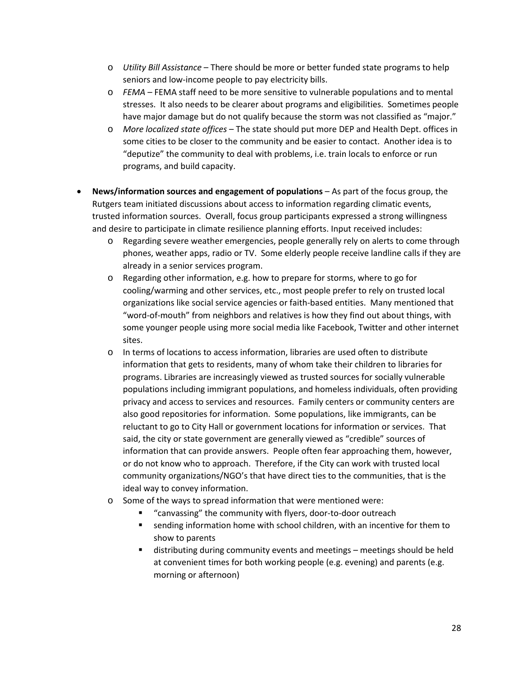- o *Utility Bill Assistance*  There should be more or better funded state programs to help seniors and low-income people to pay electricity bills.
- o *FEMA*  FEMA staff need to be more sensitive to vulnerable populations and to mental stresses. It also needs to be clearer about programs and eligibilities. Sometimes people have major damage but do not qualify because the storm was not classified as "major."
- o *More localized state offices*  The state should put more DEP and Health Dept. offices in some cities to be closer to the community and be easier to contact. Another idea is to "deputize" the community to deal with problems, i.e. train locals to enforce or run programs, and build capacity.
- **News/information sources and engagement of populations** As part of the focus group, the Rutgers team initiated discussions about access to information regarding climatic events, trusted information sources. Overall, focus group participants expressed a strong willingness and desire to participate in climate resilience planning efforts. Input received includes:
	- o Regarding severe weather emergencies, people generally rely on alerts to come through phones, weather apps, radio or TV. Some elderly people receive landline calls if they are already in a senior services program.
	- o Regarding other information, e.g. how to prepare for storms, where to go for cooling/warming and other services, etc., most people prefer to rely on trusted local organizations like social service agencies or faith-based entities. Many mentioned that "word-of-mouth" from neighbors and relatives is how they find out about things, with some younger people using more social media like Facebook, Twitter and other internet sites.
	- o In terms of locations to access information, libraries are used often to distribute information that gets to residents, many of whom take their children to libraries for programs. Libraries are increasingly viewed as trusted sources for socially vulnerable populations including immigrant populations, and homeless individuals, often providing privacy and access to services and resources. Family centers or community centers are also good repositories for information. Some populations, like immigrants, can be reluctant to go to City Hall or government locations for information or services. That said, the city or state government are generally viewed as "credible" sources of information that can provide answers. People often fear approaching them, however, or do not know who to approach. Therefore, if the City can work with trusted local community organizations/NGO's that have direct ties to the communities, that is the ideal way to convey information.
	- o Some of the ways to spread information that were mentioned were:
		- "canvassing" the community with flyers, door-to-door outreach
		- sending information home with school children, with an incentive for them to show to parents
		- distributing during community events and meetings meetings should be held at convenient times for both working people (e.g. evening) and parents (e.g. morning or afternoon)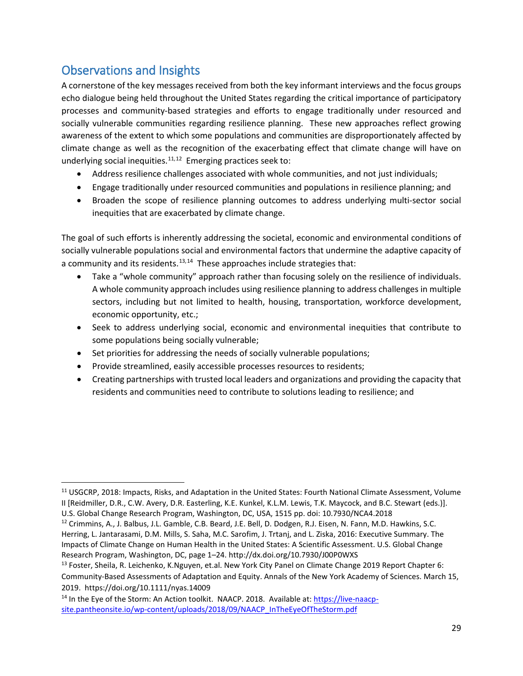# <span id="page-28-0"></span>Observations and Insights

A cornerstone of the key messages received from both the key informant interviews and the focus groups echo dialogue being held throughout the United States regarding the critical importance of participatory processes and community-based strategies and efforts to engage traditionally under resourced and socially vulnerable communities regarding resilience planning. These new approaches reflect growing awareness of the extent to which some populations and communities are disproportionately affected by climate change as well as the recognition of the exacerbating effect that climate change will have on underlying social inequities. $11,12$  $11,12$  Emerging practices seek to:

- Address resilience challenges associated with whole communities, and not just individuals;
- Engage traditionally under resourced communities and populations in resilience planning; and
- Broaden the scope of resilience planning outcomes to address underlying multi-sector social inequities that are exacerbated by climate change.

The goal of such efforts is inherently addressing the societal, economic and environmental conditions of socially vulnerable populations social and environmental factors that undermine the adaptive capacity of a community and its residents.<sup>[13,](#page-28-3)14</sup> These approaches include strategies that:

- Take a "whole community" approach rather than focusing solely on the resilience of individuals. A whole community approach includes using resilience planning to address challenges in multiple sectors, including but not limited to health, housing, transportation, workforce development, economic opportunity, etc.;
- Seek to address underlying social, economic and environmental inequities that contribute to some populations being socially vulnerable;
- Set priorities for addressing the needs of socially vulnerable populations;
- Provide streamlined, easily accessible processes resources to residents;
- Creating partnerships with trusted local leaders and organizations and providing the capacity that residents and communities need to contribute to solutions leading to resilience; and

<span id="page-28-1"></span><sup>&</sup>lt;sup>11</sup> USGCRP, 2018: Impacts, Risks, and Adaptation in the United States: Fourth National Climate Assessment, Volume II [Reidmiller, D.R., C.W. Avery, D.R. Easterling, K.E. Kunkel, K.L.M. Lewis, T.K. Maycock, and B.C. Stewart (eds.)].

U.S. Global Change Research Program, Washington, DC, USA, 1515 pp. doi: 10.7930/NCA4.2018

<span id="page-28-2"></span><sup>&</sup>lt;sup>12</sup> Crimmins, A., J. Balbus, J.L. Gamble, C.B. Beard, J.E. Bell, D. Dodgen, R.J. Eisen, N. Fann, M.D. Hawkins, S.C. Herring, L. Jantarasami, D.M. Mills, S. Saha, M.C. Sarofim, J. Trtanj, and L. Ziska, 2016: Executive Summary. The Impacts of Climate Change on Human Health in the United States: A Scientific Assessment. U.S. Global Change Research Program, Washington, DC, page 1–24. http://dx.doi.org/10.7930/J00P0WXS

<span id="page-28-3"></span><sup>&</sup>lt;sup>13</sup> Foster, Sheila, R. Leichenko, K.Nguyen, et.al. New York City Panel on Climate Change 2019 Report Chapter 6: Community-Based Assessments of Adaptation and Equity. Annals of the New York Academy of Sciences. March 15, 2019. <https://doi.org/10.1111/nyas.14009>

<span id="page-28-4"></span><sup>&</sup>lt;sup>14</sup> In the Eye of the Storm: An Action toolkit. NAACP. 2018. Available at[: https://live-naacp](https://live-naacp-site.pantheonsite.io/wp-content/uploads/2018/09/NAACP_InTheEyeOfTheStorm.pdf)[site.pantheonsite.io/wp-content/uploads/2018/09/NAACP\\_InTheEyeOfTheStorm.pdf](https://live-naacp-site.pantheonsite.io/wp-content/uploads/2018/09/NAACP_InTheEyeOfTheStorm.pdf)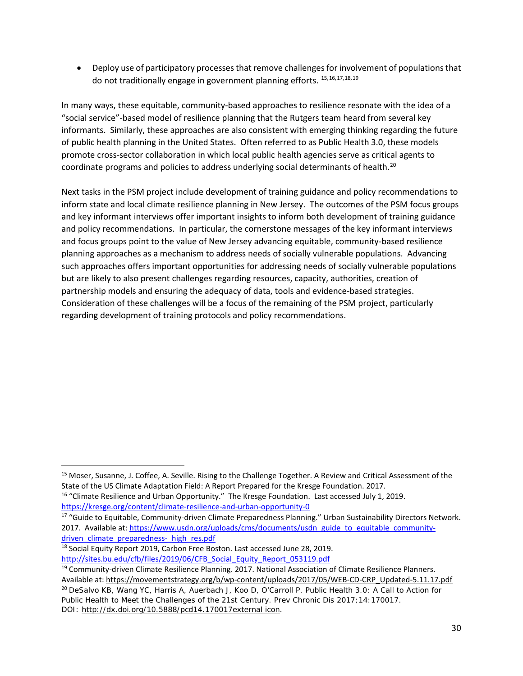• Deploy use of participatory processes that remove challenges for involvement of populations that do not traditionally engage in government planning efforts. [15](#page-29-0),[16](#page-29-1),[17,](#page-29-2)[18,](#page-29-3)[19](#page-29-4)

In many ways, these equitable, community-based approaches to resilience resonate with the idea of a "social service"-based model of resilience planning that the Rutgers team heard from several key informants. Similarly, these approaches are also consistent with emerging thinking regarding the future of public health planning in the United States. Often referred to as Public Health 3.0, these models promote cross-sector collaboration in which local public health agencies serve as critical agents to coordinate programs and policies to address underlying social determinants of health.<sup>[20](#page-29-5)</sup>

Next tasks in the PSM project include development of training guidance and policy recommendations to inform state and local climate resilience planning in New Jersey. The outcomes of the PSM focus groups and key informant interviews offer important insights to inform both development of training guidance and policy recommendations. In particular, the cornerstone messages of the key informant interviews and focus groups point to the value of New Jersey advancing equitable, community-based resilience planning approaches as a mechanism to address needs of socially vulnerable populations. Advancing such approaches offers important opportunities for addressing needs of socially vulnerable populations but are likely to also present challenges regarding resources, capacity, authorities, creation of partnership models and ensuring the adequacy of data, tools and evidence-based strategies. Consideration of these challenges will be a focus of the remaining of the PSM project, particularly regarding development of training protocols and policy recommendations.

<span id="page-29-0"></span><sup>&</sup>lt;sup>15</sup> Moser, Susanne, J. Coffee, A. Seville. Rising to the Challenge Together. A Review and Critical Assessment of the State of the US Climate Adaptation Field: A Report Prepared for the Kresge Foundation. 2017.

<span id="page-29-1"></span><sup>&</sup>lt;sup>16</sup> "Climate Resilience and Urban Opportunity." The Kresge Foundation. Last accessed July 1, 2019. <https://kresge.org/content/climate-resilience-and-urban-opportunity-0>

<span id="page-29-2"></span><sup>&</sup>lt;sup>17</sup> "Guide to Equitable, Community-driven Climate Preparedness Planning." Urban Sustainability Directors Network. 2017. Available at[: https://www.usdn.org/uploads/cms/documents/usdn\\_guide\\_to\\_equitable\\_community](https://www.usdn.org/uploads/cms/documents/usdn_guide_to_equitable_community-driven_climate_preparedness-_high_res.pdf)driven climate preparedness- high res.pdf

<span id="page-29-3"></span><sup>&</sup>lt;sup>18</sup> Social Equity Report 2019, Carbon Free Boston. Last accessed June 28, 2019. [http://sites.bu.edu/cfb/files/2019/06/CFB\\_Social\\_Equity\\_Report\\_053119.pdf](http://sites.bu.edu/cfb/files/2019/06/CFB_Social_Equity_Report_053119.pdf)

<span id="page-29-5"></span><span id="page-29-4"></span><sup>19</sup> Community-driven Climate Resilience Planning. 2017. National Association of Climate Resilience Planners. Available at: [https://movementstrategy.org/b/wp-content/uploads/2017/05/WEB-CD-CRP\\_Updated-5.11.17.pdf](https://movementstrategy.org/b/wp-content/uploads/2017/05/WEB-CD-CRP_Updated-5.11.17.pdf) <sup>20</sup> DeSalvo KB, Wang YC, Harris A, Auerbach J, Koo D, O'Carroll P. Public Health 3.0: A Call to Action for Public Health to Meet the Challenges of the 21st Century. Prev Chronic Dis 2017;14:170017. DOI: [http://dx.doi.org/10.5888/pcd14.170017external](http://dx.doi.org/10.5888/pcd14.170017) icon.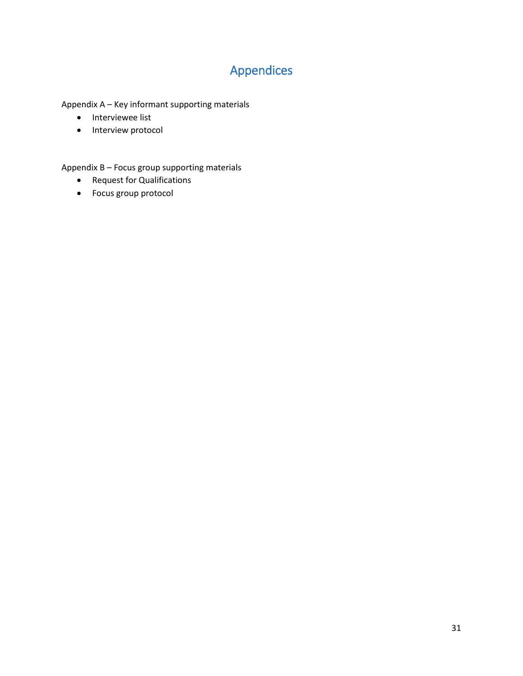# Appendices

<span id="page-30-0"></span>Appendix A – Key informant supporting materials

- Interviewee list
- Interview protocol

Appendix B – Focus group supporting materials

- Request for Qualifications
- Focus group protocol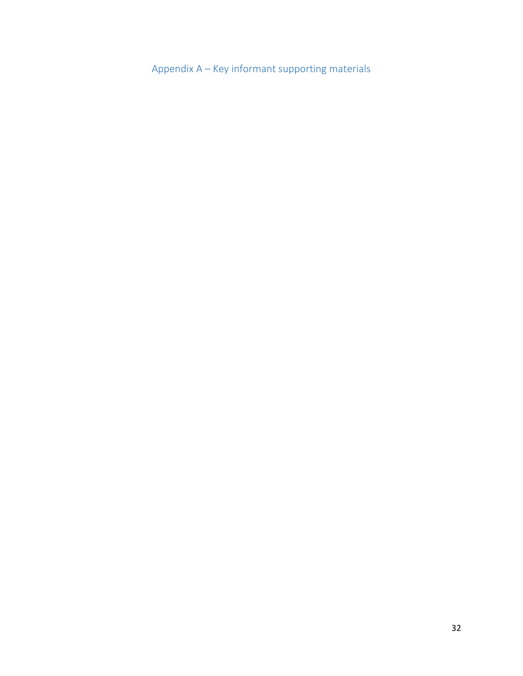<span id="page-31-0"></span>Appendix A – Key informant supporting materials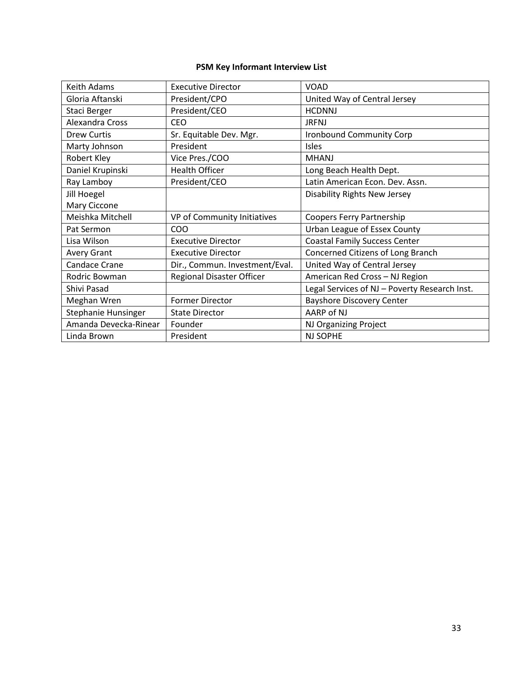## **PSM Key Informant Interview List**

| <b>Keith Adams</b>         | <b>Executive Director</b>        | <b>VOAD</b>                                   |
|----------------------------|----------------------------------|-----------------------------------------------|
| Gloria Aftanski            | President/CPO                    | United Way of Central Jersey                  |
| Staci Berger               | President/CEO                    | <b>HCDNNJ</b>                                 |
| Alexandra Cross            | <b>CEO</b>                       | <b>JRFNJ</b>                                  |
| <b>Drew Curtis</b>         | Sr. Equitable Dev. Mgr.          | <b>Ironbound Community Corp</b>               |
| Marty Johnson              | President                        | <b>Isles</b>                                  |
| Robert Kley                | Vice Pres./COO                   | <b>MHANJ</b>                                  |
| Daniel Krupinski           | <b>Health Officer</b>            | Long Beach Health Dept.                       |
| Ray Lamboy                 | President/CEO                    | Latin American Econ. Dev. Assn.               |
| Jill Hoegel                |                                  | <b>Disability Rights New Jersey</b>           |
| Mary Ciccone               |                                  |                                               |
| Meishka Mitchell           | VP of Community Initiatives      | Coopers Ferry Partnership                     |
| Pat Sermon                 | COO                              | Urban League of Essex County                  |
| Lisa Wilson                | <b>Executive Director</b>        | <b>Coastal Family Success Center</b>          |
| <b>Avery Grant</b>         | <b>Executive Director</b>        | Concerned Citizens of Long Branch             |
| Candace Crane              | Dir., Commun. Investment/Eval.   | United Way of Central Jersey                  |
| Rodric Bowman              | <b>Regional Disaster Officer</b> | American Red Cross - NJ Region                |
| Shivi Pasad                |                                  | Legal Services of NJ - Poverty Research Inst. |
| Meghan Wren                | <b>Former Director</b>           | <b>Bayshore Discovery Center</b>              |
| <b>Stephanie Hunsinger</b> | <b>State Director</b>            | AARP of NJ                                    |
| Amanda Devecka-Rinear      | Founder                          | NJ Organizing Project                         |
| Linda Brown                | President                        | <b>NJ SOPHE</b>                               |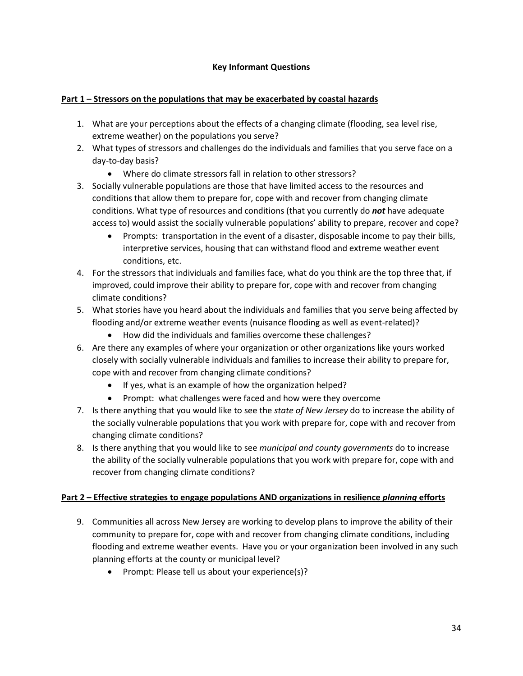### **Key Informant Questions**

### **Part 1 – Stressors on the populations that may be exacerbated by coastal hazards**

- 1. What are your perceptions about the effects of a changing climate (flooding, sea level rise, extreme weather) on the populations you serve?
- 2. What types of stressors and challenges do the individuals and families that you serve face on a day-to-day basis?
	- Where do climate stressors fall in relation to other stressors?
- 3. Socially vulnerable populations are those that have limited access to the resources and conditions that allow them to prepare for, cope with and recover from changing climate conditions. What type of resources and conditions (that you currently do *not* have adequate access to) would assist the socially vulnerable populations' ability to prepare, recover and cope?
	- Prompts: transportation in the event of a disaster, disposable income to pay their bills, interpretive services, housing that can withstand flood and extreme weather event conditions, etc.
- 4. For the stressors that individuals and families face, what do you think are the top three that, if improved, could improve their ability to prepare for, cope with and recover from changing climate conditions?
- 5. What stories have you heard about the individuals and families that you serve being affected by flooding and/or extreme weather events (nuisance flooding as well as event-related)?
	- How did the individuals and families overcome these challenges?
- 6. Are there any examples of where your organization or other organizations like yours worked closely with socially vulnerable individuals and families to increase their ability to prepare for, cope with and recover from changing climate conditions?
	- If yes, what is an example of how the organization helped?
	- Prompt: what challenges were faced and how were they overcome
- 7. Is there anything that you would like to see the *state of New Jersey* do to increase the ability of the socially vulnerable populations that you work with prepare for, cope with and recover from changing climate conditions?
- 8. Is there anything that you would like to see *municipal and county governments* do to increase the ability of the socially vulnerable populations that you work with prepare for, cope with and recover from changing climate conditions?

### **Part 2 – Effective strategies to engage populations AND organizations in resilience** *planning* **efforts**

- 9. Communities all across New Jersey are working to develop plans to improve the ability of their community to prepare for, cope with and recover from changing climate conditions, including flooding and extreme weather events. Have you or your organization been involved in any such planning efforts at the county or municipal level?
	- Prompt: Please tell us about your experience(s)?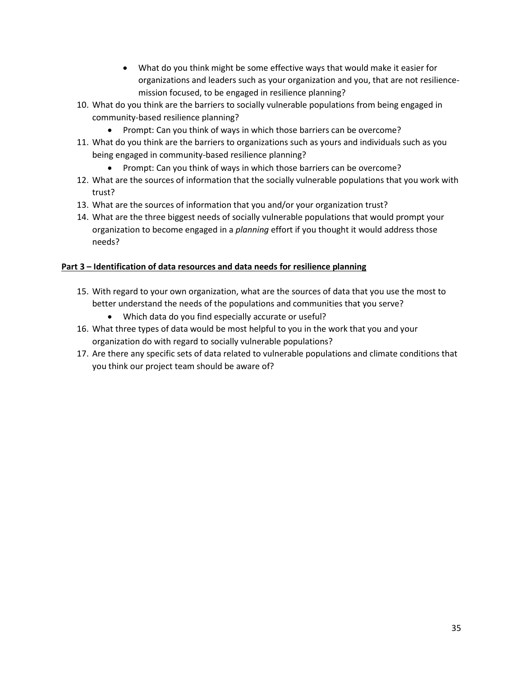- What do you think might be some effective ways that would make it easier for organizations and leaders such as your organization and you, that are not resiliencemission focused, to be engaged in resilience planning?
- 10. What do you think are the barriers to socially vulnerable populations from being engaged in community-based resilience planning?
	- Prompt: Can you think of ways in which those barriers can be overcome?
- 11. What do you think are the barriers to organizations such as yours and individuals such as you being engaged in community-based resilience planning?
	- Prompt: Can you think of ways in which those barriers can be overcome?
- 12. What are the sources of information that the socially vulnerable populations that you work with trust?
- 13. What are the sources of information that you and/or your organization trust?
- 14. What are the three biggest needs of socially vulnerable populations that would prompt your organization to become engaged in a *planning* effort if you thought it would address those needs?

### **Part 3 – Identification of data resources and data needs for resilience planning**

- 15. With regard to your own organization, what are the sources of data that you use the most to better understand the needs of the populations and communities that you serve?
	- Which data do you find especially accurate or useful?
- 16. What three types of data would be most helpful to you in the work that you and your organization do with regard to socially vulnerable populations?
- 17. Are there any specific sets of data related to vulnerable populations and climate conditions that you think our project team should be aware of?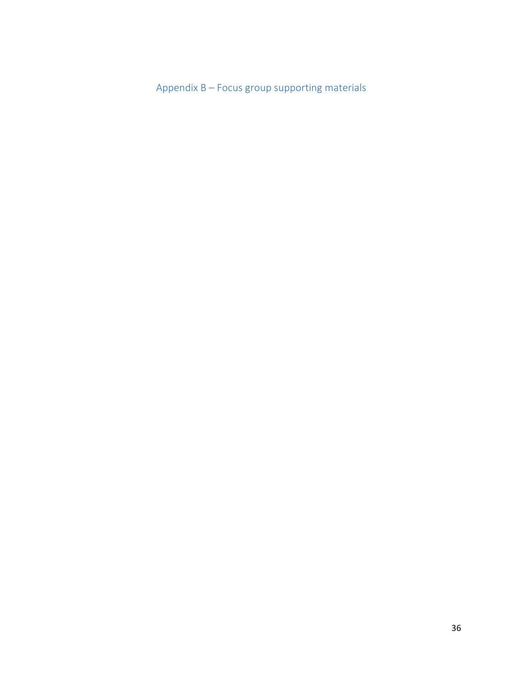<span id="page-35-0"></span>Appendix B – Focus group supporting materials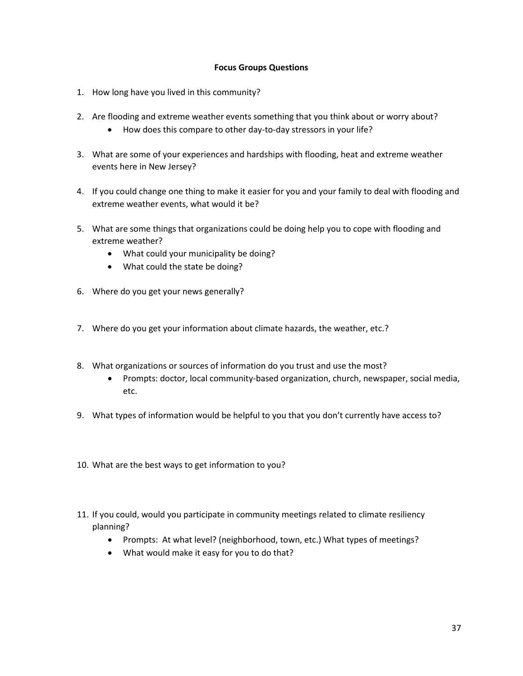#### **Focus Groups Questions**

- 1. How long have you lived in this community?
- 2. Are flooding and extreme weather events something that you think about or worry about?
	- How does this compare to other day-to-day stressors in your life?
- 3. What are some of your experiences and hardships with flooding, heat and extreme weather events here in New Jersey?
- 4. If you could change one thing to make it easier for you and your family to deal with flooding and extreme weather events, what would it be?
- 5. What are some things that organizations could be doing help you to cope with flooding and extreme weather?
	- What could your municipality be doing?
	- What could the state be doing?
- 6. Where do you get your news generally?
- 7. Where do you get your information about climate hazards, the weather, etc.?
- 8. What organizations or sources of information do you trust and use the most?
	- Prompts: doctor, local community-based organization, church, newspaper, social media, etc.
- 9. What types of information would be helpful to you that you don't currently have access to?
- 10. What are the best ways to get information to you?
- 11. If you could, would you participate in community meetings related to climate resiliency planning?
	- Prompts: At what level? (neighborhood, town, etc.) What types of meetings?
	- What would make it easy for you to do that?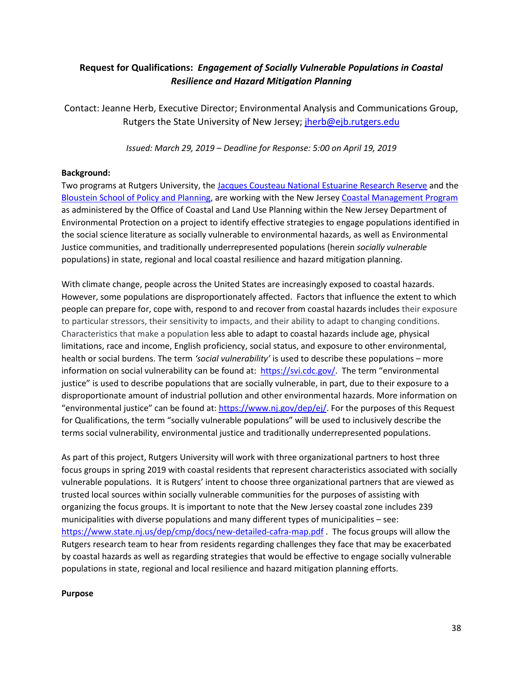## **Request for Qualifications:** *Engagement of Socially Vulnerable Populations in Coastal Resilience and Hazard Mitigation Planning*

Contact: Jeanne Herb, Executive Director; Environmental Analysis and Communications Group, Rutgers the State University of New Jersey; *jherb@ejb.rutgers.edu* 

*Issued: March 29, 2019 – Deadline for Response: 5:00 on April 19, 2019*

#### **Background:**

Two programs at Rutgers University, th[e Jacques Cousteau National Estuarine Research Reserve](https://jcnerr.org/) and the [Bloustein School of Policy and Planning,](http://www.policy.rutgers.edu/) are working with the New Jersey [Coastal Management Program](https://www.state.nj.us/dep/cmp/) as administered by the Office of Coastal and Land Use Planning within the New Jersey Department of Environmental Protection on a project to identify effective strategies to engage populations identified in the social science literature as socially vulnerable to environmental hazards, as well as Environmental Justice communities, and traditionally underrepresented populations (herein *socially vulnerable* populations) in state, regional and local coastal resilience and hazard mitigation planning.

With climate change, people across the United States are increasingly exposed to coastal hazards. However, some populations are disproportionately affected. Factors that influence the extent to which people can prepare for, cope with, respond to and recover from coastal hazards includes their exposure to particular stressors, their sensitivity to impacts, and their ability to adapt to changing conditions. Characteristics that make a population less able to adapt to coastal hazards include age, physical limitations, race and income, English proficiency, social status, and exposure to other environmental, health or social burdens. The term *'social vulnerability'* is used to describe these populations – more information on social vulnerability can be found at: [https://svi.cdc.gov/.](https://svi.cdc.gov/) The term "environmental justice" is used to describe populations that are socially vulnerable, in part, due to their exposure to a disproportionate amount of industrial pollution and other environmental hazards. More information on "environmental justice" can be found at: [https://www.nj.gov/dep/ej/.](https://www.nj.gov/dep/ej/) For the purposes of this Request for Qualifications, the term "socially vulnerable populations" will be used to inclusively describe the terms social vulnerability, environmental justice and traditionally underrepresented populations.

As part of this project, Rutgers University will work with three organizational partners to host three focus groups in spring 2019 with coastal residents that represent characteristics associated with socially vulnerable populations. It is Rutgers' intent to choose three organizational partners that are viewed as trusted local sources within socially vulnerable communities for the purposes of assisting with organizing the focus groups. It is important to note that the New Jersey coastal zone includes 239 municipalities with diverse populations and many different types of municipalities – see: <https://www.state.nj.us/dep/cmp/docs/new-detailed-cafra-map.pdf> . The focus groups will allow the Rutgers research team to hear from residents regarding challenges they face that may be exacerbated by coastal hazards as well as regarding strategies that would be effective to engage socially vulnerable populations in state, regional and local resilience and hazard mitigation planning efforts.

#### **Purpose**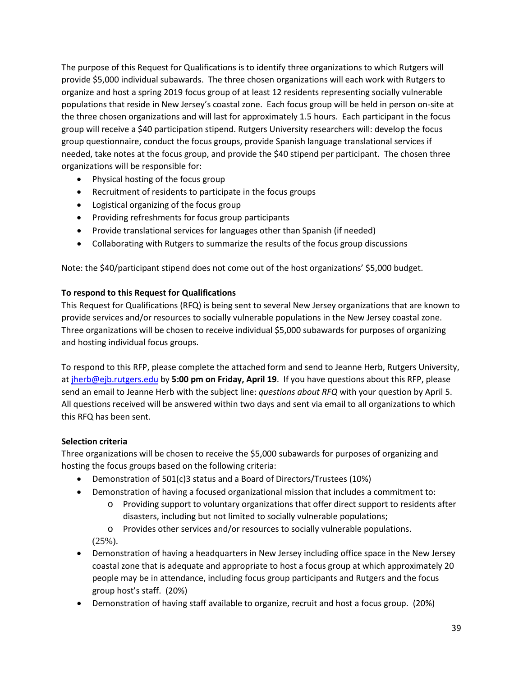The purpose of this Request for Qualifications is to identify three organizations to which Rutgers will provide \$5,000 individual subawards. The three chosen organizations will each work with Rutgers to organize and host a spring 2019 focus group of at least 12 residents representing socially vulnerable populations that reside in New Jersey's coastal zone. Each focus group will be held in person on-site at the three chosen organizations and will last for approximately 1.5 hours. Each participant in the focus group will receive a \$40 participation stipend. Rutgers University researchers will: develop the focus group questionnaire, conduct the focus groups, provide Spanish language translational services if needed, take notes at the focus group, and provide the \$40 stipend per participant. The chosen three organizations will be responsible for:

- Physical hosting of the focus group
- Recruitment of residents to participate in the focus groups
- Logistical organizing of the focus group
- Providing refreshments for focus group participants
- Provide translational services for languages other than Spanish (if needed)
- Collaborating with Rutgers to summarize the results of the focus group discussions

Note: the \$40/participant stipend does not come out of the host organizations' \$5,000 budget.

#### **To respond to this Request for Qualifications**

This Request for Qualifications (RFQ) is being sent to several New Jersey organizations that are known to provide services and/or resources to socially vulnerable populations in the New Jersey coastal zone. Three organizations will be chosen to receive individual \$5,000 subawards for purposes of organizing and hosting individual focus groups.

To respond to this RFP, please complete the attached form and send to Jeanne Herb, Rutgers University, a[t jherb@ejb.rutgers.edu](mailto:jherb@ejb.rutgers.edu) by **5:00 pm on Friday, April 19**. If you have questions about this RFP, please send an email to Jeanne Herb with the subject line: *questions about RFQ* with your question by April 5. All questions received will be answered within two days and sent via email to all organizations to which this RFQ has been sent.

#### **Selection criteria**

Three organizations will be chosen to receive the \$5,000 subawards for purposes of organizing and hosting the focus groups based on the following criteria:

- Demonstration of 501(c)3 status and a Board of Directors/Trustees (10%)
- Demonstration of having a focused organizational mission that includes a commitment to:
	- o Providing support to voluntary organizations that offer direct support to residents after disasters, including but not limited to socially vulnerable populations;
	- o Provides other services and/or resources to socially vulnerable populations.

(25%).

- Demonstration of having a headquarters in New Jersey including office space in the New Jersey coastal zone that is adequate and appropriate to host a focus group at which approximately 20 people may be in attendance, including focus group participants and Rutgers and the focus group host's staff. (20%)
- Demonstration of having staff available to organize, recruit and host a focus group. (20%)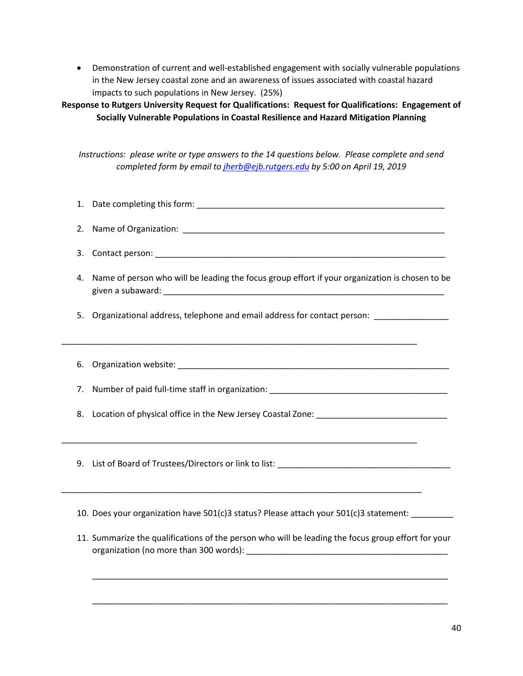• Demonstration of current and well-established engagement with socially vulnerable populations in the New Jersey coastal zone and an awareness of issues associated with coastal hazard impacts to such populations in New Jersey. (25%)

**Response to Rutgers University Request for Qualifications: Request for Qualifications: Engagement of Socially Vulnerable Populations in Coastal Resilience and Hazard Mitigation Planning**

*Instructions: please write or type answers to the 14 questions below. Please complete and send completed form by email t[o jherb@ejb.rutgers.edu](mailto:jherb@ejb.rutgers.edu) by 5:00 on April 19, 2019*

- 1. Date completing this form: **with a set of the completion** of the contract of the contract of the contract of
- 2. Name of Organization: \_\_\_\_\_\_\_\_\_\_\_\_\_\_\_\_\_\_\_\_\_\_\_\_\_\_\_\_\_\_\_\_\_\_\_\_\_\_\_\_\_\_\_\_\_\_\_\_\_\_\_\_\_\_\_\_
- 3. Contact person: \_\_\_\_\_\_\_\_\_\_\_\_\_\_\_\_\_\_\_\_\_\_\_\_\_\_\_\_\_\_\_\_\_\_\_\_\_\_\_\_\_\_\_\_\_\_\_\_\_\_\_\_\_\_\_\_\_\_\_\_\_\_
- 4. Name of person who will be leading the focus group effort if your organization is chosen to be given a subaward: \_\_\_\_\_\_\_\_\_\_\_\_\_\_\_\_\_\_\_\_\_\_\_\_\_\_\_\_\_\_\_\_\_\_\_\_\_\_\_\_\_\_\_\_\_\_\_\_\_\_\_\_\_\_\_\_\_\_\_\_
- 5. Organizational address, telephone and email address for contact person:

\_\_\_\_\_\_\_\_\_\_\_\_\_\_\_\_\_\_\_\_\_\_\_\_\_\_\_\_\_\_\_\_\_\_\_\_\_\_\_\_\_\_\_\_\_\_\_\_\_\_\_\_\_\_\_\_\_\_\_\_\_\_\_\_\_\_\_\_\_\_\_\_\_\_\_\_

- 6. Organization website: \_\_\_\_\_\_\_\_\_\_\_\_\_\_\_\_\_\_\_\_\_\_\_\_\_\_\_\_\_\_\_\_\_\_\_\_\_\_\_\_\_\_\_\_\_\_\_\_\_\_\_\_\_\_\_\_\_\_
- 7. Number of paid full-time staff in organization: \_\_\_\_\_\_\_\_\_\_\_\_\_\_\_\_\_\_\_\_\_\_\_\_\_\_\_\_\_\_\_\_\_\_\_\_\_\_
- 8. Location of physical office in the New Jersey Coastal Zone: \_\_\_\_\_\_\_\_\_\_\_\_\_\_\_\_\_\_\_\_\_\_\_\_\_\_\_\_
- 9. List of Board of Trustees/Directors or link to list: \_\_\_\_\_\_\_\_\_\_\_\_\_\_\_\_\_\_\_\_\_\_\_\_\_\_\_\_\_\_\_\_\_\_\_\_\_

\_\_\_\_\_\_\_\_\_\_\_\_\_\_\_\_\_\_\_\_\_\_\_\_\_\_\_\_\_\_\_\_\_\_\_\_\_\_\_\_\_\_\_\_\_\_\_\_\_\_\_\_\_\_\_\_\_\_\_\_\_\_\_\_\_\_\_\_\_\_\_\_\_\_\_\_\_

\_\_\_\_\_\_\_\_\_\_\_\_\_\_\_\_\_\_\_\_\_\_\_\_\_\_\_\_\_\_\_\_\_\_\_\_\_\_\_\_\_\_\_\_\_\_\_\_\_\_\_\_\_\_\_\_\_\_\_\_\_\_\_\_\_\_\_\_\_\_\_\_\_\_\_\_

- 10. Does your organization have 501(c)3 status? Please attach your 501(c)3 statement: \_\_\_\_\_\_\_\_\_
- 11. Summarize the qualifications of the person who will be leading the focus group effort for your organization (no more than 300 words):

\_\_\_\_\_\_\_\_\_\_\_\_\_\_\_\_\_\_\_\_\_\_\_\_\_\_\_\_\_\_\_\_\_\_\_\_\_\_\_\_\_\_\_\_\_\_\_\_\_\_\_\_\_\_\_\_\_\_\_\_\_\_\_\_\_\_\_\_\_\_\_\_\_\_\_\_

\_\_\_\_\_\_\_\_\_\_\_\_\_\_\_\_\_\_\_\_\_\_\_\_\_\_\_\_\_\_\_\_\_\_\_\_\_\_\_\_\_\_\_\_\_\_\_\_\_\_\_\_\_\_\_\_\_\_\_\_\_\_\_\_\_\_\_\_\_\_\_\_\_\_\_\_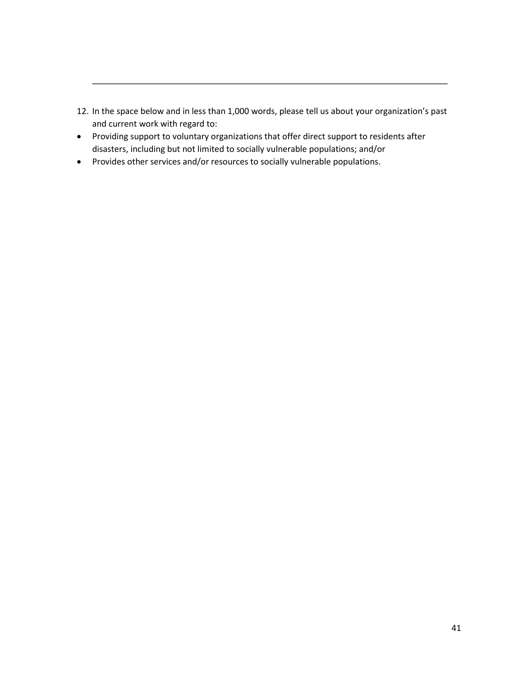12. In the space below and in less than 1,000 words, please tell us about your organization's past and current work with regard to:

\_\_\_\_\_\_\_\_\_\_\_\_\_\_\_\_\_\_\_\_\_\_\_\_\_\_\_\_\_\_\_\_\_\_\_\_\_\_\_\_\_\_\_\_\_\_\_\_\_\_\_\_\_\_\_\_\_\_\_\_\_\_\_\_\_\_\_\_\_\_\_\_\_\_\_\_

- Providing support to voluntary organizations that offer direct support to residents after disasters, including but not limited to socially vulnerable populations; and/or
- Provides other services and/or resources to socially vulnerable populations.